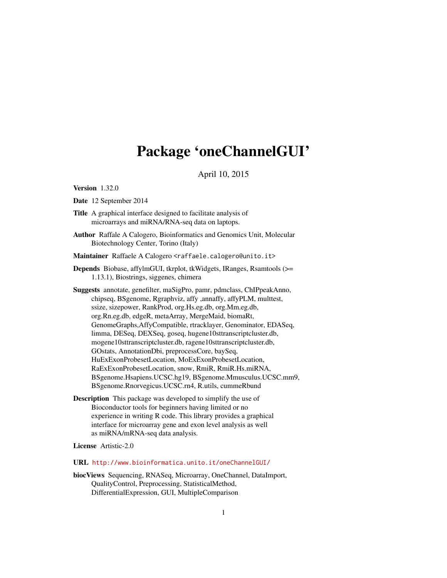# Package 'oneChannelGUI'

April 10, 2015

Version 1.32.0

Date 12 September 2014

- Title A graphical interface designed to facilitate analysis of microarrays and miRNA/RNA-seq data on laptops.
- Author Raffale A Calogero, Bioinformatics and Genomics Unit, Molecular Biotechnology Center, Torino (Italy)

Maintainer Raffaele A Calogero <raffaele.calogero@unito.it>

Depends Biobase, affylmGUI, tkrplot, tkWidgets, IRanges, Rsamtools (>= 1.13.1), Biostrings, siggenes, chimera

Suggests annotate, genefilter, maSigPro, pamr, pdmclass, ChIPpeakAnno, chipseq, BSgenome, Rgraphviz, affy ,annaffy, affyPLM, multtest, ssize, sizepower, RankProd, org.Hs.eg.db, org.Mm.eg.db, org.Rn.eg.db, edgeR, metaArray, MergeMaid, biomaRt, GenomeGraphs,AffyCompatible, rtracklayer, Genominator, EDASeq, limma, DESeq, DEXSeq, goseq, hugene10sttranscriptcluster.db, mogene10sttranscriptcluster.db, ragene10sttranscriptcluster.db, GOstats, AnnotationDbi, preprocessCore, baySeq, HuExExonProbesetLocation, MoExExonProbesetLocation, RaExExonProbesetLocation, snow, RmiR, RmiR.Hs.miRNA, BSgenome.Hsapiens.UCSC.hg19, BSgenome.Mmusculus.UCSC.mm9, BSgenome.Rnorvegicus.UCSC.rn4, R.utils, cummeRbund

Description This package was developed to simplify the use of Bioconductor tools for beginners having limited or no experience in writing R code. This library provides a graphical interface for microarray gene and exon level analysis as well as miRNA/mRNA-seq data analysis.

License Artistic-2.0

URL <http://www.bioinformatica.unito.it/oneChannelGUI/>

biocViews Sequencing, RNASeq, Microarray, OneChannel, DataImport, QualityControl, Preprocessing, StatisticalMethod, DifferentialExpression, GUI, MultipleComparison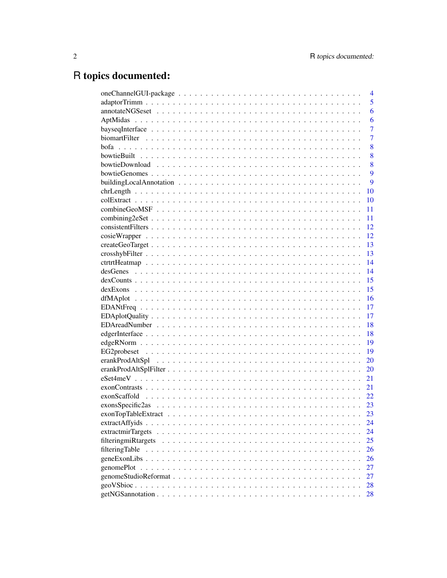# R topics documented:

| $\overline{4}$                                                                                                                                                                                                                                             |
|------------------------------------------------------------------------------------------------------------------------------------------------------------------------------------------------------------------------------------------------------------|
| 5                                                                                                                                                                                                                                                          |
| 6                                                                                                                                                                                                                                                          |
| 6                                                                                                                                                                                                                                                          |
| $\overline{7}$                                                                                                                                                                                                                                             |
| $\overline{7}$                                                                                                                                                                                                                                             |
| 8                                                                                                                                                                                                                                                          |
| 8                                                                                                                                                                                                                                                          |
| 8                                                                                                                                                                                                                                                          |
| 9                                                                                                                                                                                                                                                          |
| 9                                                                                                                                                                                                                                                          |
| 10                                                                                                                                                                                                                                                         |
| 10                                                                                                                                                                                                                                                         |
| 11                                                                                                                                                                                                                                                         |
| 11                                                                                                                                                                                                                                                         |
| 12                                                                                                                                                                                                                                                         |
| 12                                                                                                                                                                                                                                                         |
| 13                                                                                                                                                                                                                                                         |
| 13                                                                                                                                                                                                                                                         |
| 14                                                                                                                                                                                                                                                         |
| 14                                                                                                                                                                                                                                                         |
| 15                                                                                                                                                                                                                                                         |
| 15                                                                                                                                                                                                                                                         |
| 16                                                                                                                                                                                                                                                         |
| 17                                                                                                                                                                                                                                                         |
| 17                                                                                                                                                                                                                                                         |
| 18                                                                                                                                                                                                                                                         |
| 18                                                                                                                                                                                                                                                         |
| 19                                                                                                                                                                                                                                                         |
| 19                                                                                                                                                                                                                                                         |
| 20                                                                                                                                                                                                                                                         |
| 20                                                                                                                                                                                                                                                         |
| 21                                                                                                                                                                                                                                                         |
| 21                                                                                                                                                                                                                                                         |
| 22                                                                                                                                                                                                                                                         |
| 23                                                                                                                                                                                                                                                         |
| 23                                                                                                                                                                                                                                                         |
| 24                                                                                                                                                                                                                                                         |
| extractmirTargets<br>24                                                                                                                                                                                                                                    |
| 25<br>filteringmiRtargets<br>. The contract of the contract of the contract of the contract of the contract of the contract of the contract of the contract of the contract of the contract of the contract of the contract of the contract of the contrac |
| filteringTable<br>26                                                                                                                                                                                                                                       |
| 26                                                                                                                                                                                                                                                         |
| 27<br>genomePlot                                                                                                                                                                                                                                           |
| 27                                                                                                                                                                                                                                                         |
| 28                                                                                                                                                                                                                                                         |
| 28                                                                                                                                                                                                                                                         |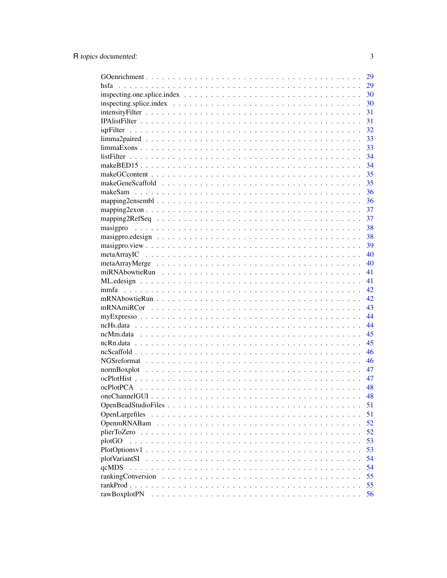|                       | 29 |
|-----------------------|----|
| hsfa                  | 29 |
|                       | 30 |
|                       | 30 |
|                       | 31 |
|                       | 31 |
| igrFilter             | 32 |
|                       | 33 |
|                       | 33 |
|                       | 34 |
|                       | 34 |
|                       | 35 |
|                       | 35 |
|                       | 36 |
|                       | 36 |
|                       | 37 |
|                       | 37 |
|                       | 38 |
|                       | 38 |
|                       | 39 |
|                       | 40 |
|                       | 40 |
|                       | 41 |
|                       | 41 |
|                       | 42 |
|                       | 42 |
|                       | 43 |
|                       | 44 |
|                       | 44 |
|                       | 45 |
|                       | 45 |
|                       |    |
|                       | 46 |
|                       | 46 |
|                       | 47 |
|                       | 47 |
| ocPlotPCA             | 48 |
|                       | 48 |
|                       | 51 |
| <b>OpenLargefiles</b> | 51 |
| <b>OpenmRNABam</b>    | 52 |
|                       | 52 |
| plotGO                | 53 |
|                       | 53 |
| plotVariantSI         | 54 |
| qcMDS                 | 54 |
| rankingConversion     | 55 |
|                       | 55 |
| rawBoxplotPN          | 56 |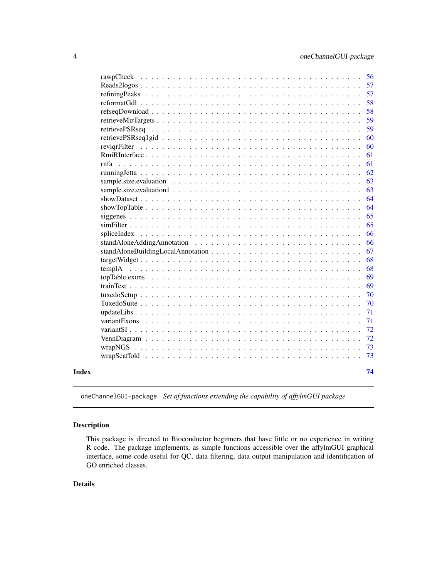<span id="page-3-0"></span>

| Index |              | 74       |
|-------|--------------|----------|
|       |              | 73       |
|       |              | 73       |
|       |              | 72       |
|       |              | 72       |
|       | variantExons | 71       |
|       |              | 71       |
|       |              | 70       |
|       |              | 70       |
|       |              | 69       |
|       |              | 69       |
|       |              | 68       |
|       |              | 68       |
|       |              | 67       |
|       |              | 66       |
|       | spliceIndex  | 66       |
|       |              | 65       |
|       |              | 65       |
|       |              | 64       |
|       |              | 64       |
|       |              | 63       |
|       |              | 63       |
|       |              | 62       |
|       | rnfa         | 61       |
|       |              | 61       |
|       |              | 60       |
|       |              | 60       |
|       |              | 59       |
|       |              | 59       |
|       |              | 58       |
|       |              | 58       |
|       |              | 57<br>57 |
|       |              | 56       |
|       |              |          |

oneChannelGUI-package *Set of functions extending the capability of affylmGUI package*

## Description

This package is directed to Bioconductor beginners that have little or no experience in writing R code. The package implements, as simple functions accessible over the affylmGUI graphical interface, some code useful for QC, data filtering, data output manipulation and identification of GO enriched classes.

## Details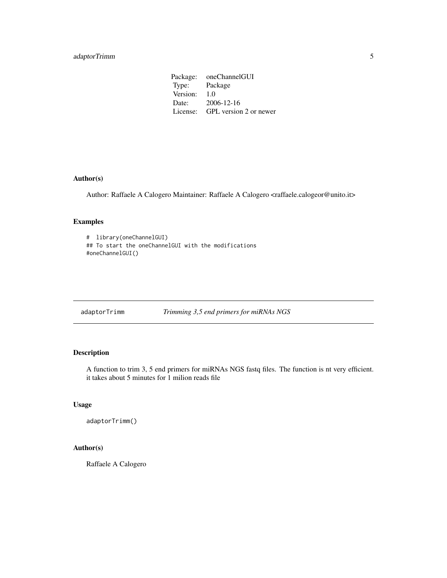<span id="page-4-0"></span>Package: oneChannelGUI Type: Package Version: 1.0 Date: 2006-12-16 License: GPL version 2 or newer

## Author(s)

Author: Raffaele A Calogero Maintainer: Raffaele A Calogero <raffaele.calogeor@unito.it>

## Examples

```
# library(oneChannelGUI)
## To start the oneChannelGUI with the modifications
#oneChannelGUI()
```
adaptorTrimm *Trimming 3,5 end primers for miRNAs NGS*

## Description

A function to trim 3, 5 end primers for miRNAs NGS fastq files. The function is nt very efficient. it takes about 5 minutes for 1 milion reads file

## Usage

```
adaptorTrimm()
```
## Author(s)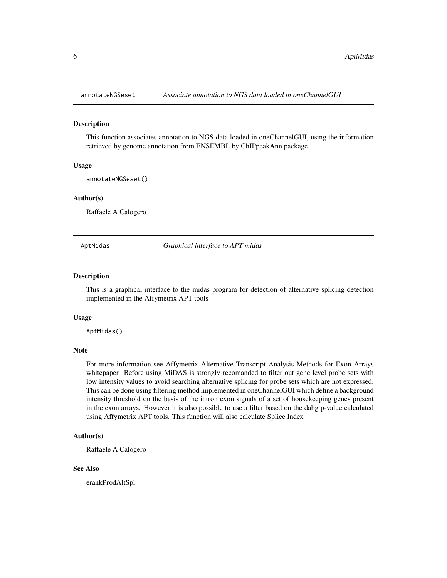<span id="page-5-0"></span>

This function associates annotation to NGS data loaded in oneChannelGUI, using the information retrieved by genome annotation from ENSEMBL by ChIPpeakAnn package

#### Usage

```
annotateNGSeset()
```
#### Author(s)

Raffaele A Calogero

AptMidas *Graphical interface to APT midas*

#### Description

This is a graphical interface to the midas program for detection of alternative splicing detection implemented in the Affymetrix APT tools

#### Usage

AptMidas()

## Note

For more information see Affymetrix Alternative Transcript Analysis Methods for Exon Arrays whitepaper. Before using MiDAS is strongly recomanded to filter out gene level probe sets with low intensity values to avoid searching alternative splicing for probe sets which are not expressed. This can be done using filtering method implemented in oneChannelGUI which define a background intensity threshold on the basis of the intron exon signals of a set of housekeeping genes present in the exon arrays. However it is also possible to use a filter based on the dabg p-value calculated using Affymetrix APT tools. This function will also calculate Splice Index

## Author(s)

Raffaele A Calogero

## See Also

erankProdAltSpl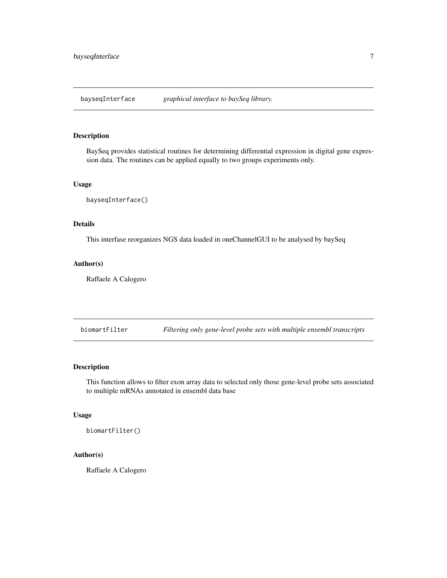<span id="page-6-0"></span>bayseqInterface *graphical interface to baySeq library.*

## Description

BaySeq provides statistical routines for determining differential expression in digital gene expression data. The routines can be applied equally to two groups experiments only.

## Usage

bayseqInterface()

## Details

This interfase reorganizes NGS data loaded in oneChannelGUI to be analysed by baySeq

#### Author(s)

Raffaele A Calogero

biomartFilter *Filtering only gene-level probe sets with multiple ensembl transcripts*

## Description

This function allows to filter exon array data to selected only those gene-level probe sets associated to multiple mRNAs annotated in ensembl data base

## Usage

biomartFilter()

#### Author(s)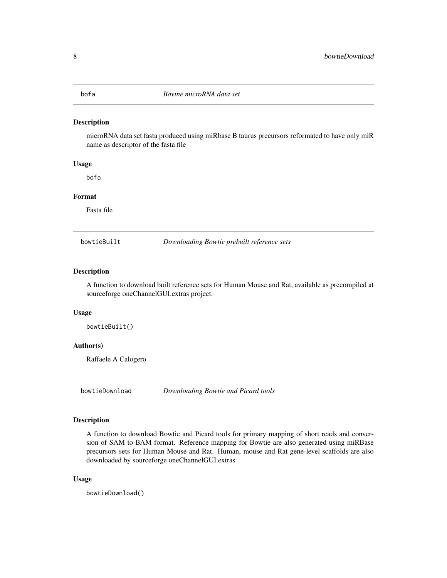<span id="page-7-0"></span>

microRNA data set fasta produced using miRbase B taurus precursors reformated to have only miR name as descriptor of the fasta file

## Usage

bofa

## Format

Fasta file

bowtieBuilt *Downloading Bowtie prebuilt reference sets*

#### Description

A function to download built reference sets for Human Mouse and Rat, available as precompiled at sourceforge oneChannelGUI.extras project.

## Usage

bowtieBuilt()

## Author(s)

Raffaele A Calogero

bowtieDownload *Downloading Bowtie and Picard tools*

#### Description

A function to download Bowtie and Picard tools for primary mapping of short reads and conversion of SAM to BAM format. Reference mapping for Bowtie are also generated using miRBase precursors sets for Human Mouse and Rat. Human, mouse and Rat gene-level scaffolds are also downloaded by sourceforge oneChannelGUI.extras

#### Usage

bowtieDownload()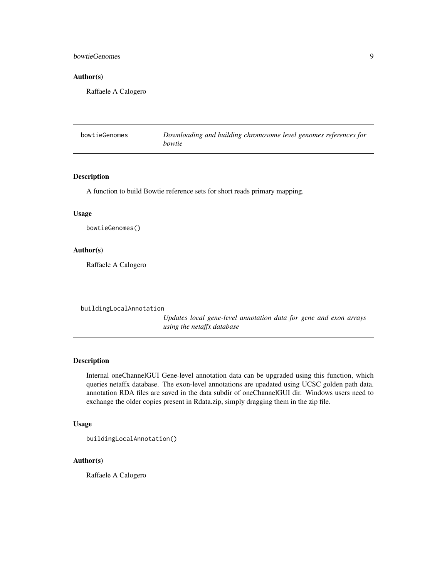<span id="page-8-0"></span>bowtieGenomes 9

## Author(s)

Raffaele A Calogero

| bowtieGenomes | Downloading and building chromosome level genomes references for |
|---------------|------------------------------------------------------------------|
|               | bowtie                                                           |

## Description

A function to build Bowtie reference sets for short reads primary mapping.

## Usage

bowtieGenomes()

#### Author(s)

Raffaele A Calogero

buildingLocalAnnotation

*Updates local gene-level annotation data for gene and exon arrays using the netaffx database*

## Description

Internal oneChannelGUI Gene-level annotation data can be upgraded using this function, which queries netaffx database. The exon-level annotations are upadated using UCSC golden path data. annotation RDA files are saved in the data subdir of oneChannelGUI dir. Windows users need to exchange the older copies present in Rdata.zip, simply dragging them in the zip file.

#### Usage

buildingLocalAnnotation()

#### Author(s)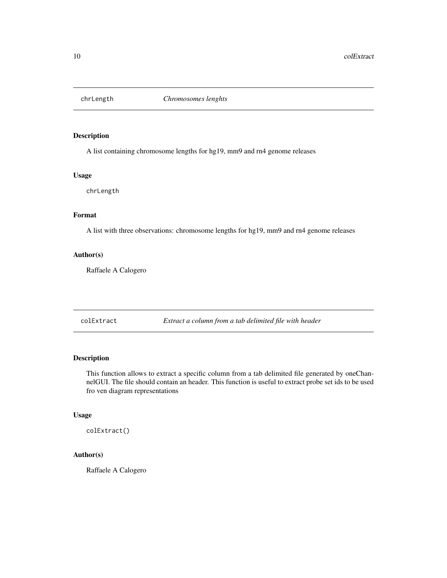<span id="page-9-0"></span>

A list containing chromosome lengths for hg19, mm9 and rn4 genome releases

#### Usage

chrLength

#### Format

A list with three observations: chromosome lengths for hg19, mm9 and rn4 genome releases

## Author(s)

Raffaele A Calogero

colExtract *Extract a column from a tab delimited file with header*

## Description

This function allows to extract a specific column from a tab delimited file generated by oneChannelGUI. The file should contain an header. This function is useful to extract probe set ids to be used fro ven diagram representations

#### Usage

colExtract()

## Author(s)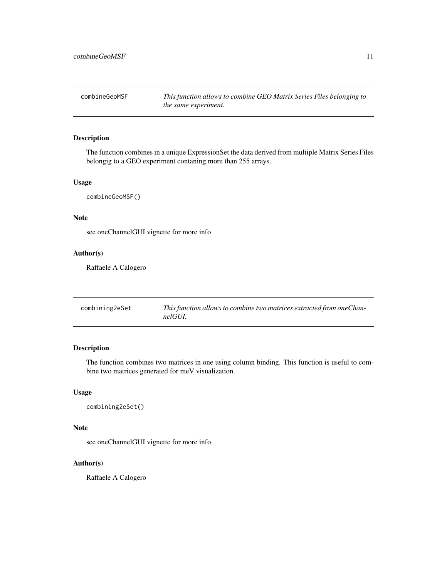<span id="page-10-0"></span>combineGeoMSF *This function allows to combine GEO Matrix Series Files belonging to the same experiment.*

#### Description

The function combines in a unique ExpressionSet the data derived from multiple Matrix Series Files belongig to a GEO experiment contaning more than 255 arrays.

#### Usage

combineGeoMSF()

#### Note

see oneChannelGUI vignette for more info

## Author(s)

Raffaele A Calogero

| combining2eSet | This function allows to combine two matrices extracted from one Chan-<br>nelGUI. |
|----------------|----------------------------------------------------------------------------------|
|----------------|----------------------------------------------------------------------------------|

## Description

The function combines two matrices in one using column binding. This function is useful to combine two matrices generated for meV visualization.

#### Usage

```
combining2eSet()
```
#### Note

see oneChannelGUI vignette for more info

## Author(s)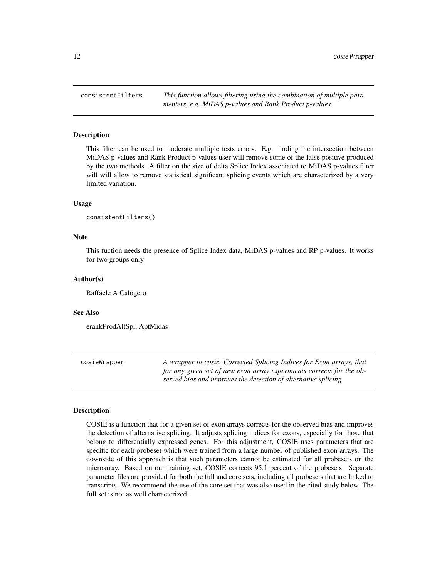<span id="page-11-0"></span>consistentFilters *This function allows filtering using the combination of multiple paramenters, e.g. MiDAS p-values and Rank Product p-values*

#### **Description**

This filter can be used to moderate multiple tests errors. E.g. finding the intersection between MiDAS p-values and Rank Product p-values user will remove some of the false positive produced by the two methods. A filter on the size of delta Splice Index associated to MiDAS p-values filter will will allow to remove statistical significant splicing events which are characterized by a very limited variation.

### Usage

```
consistentFilters()
```
## Note

This fuction needs the presence of Splice Index data, MiDAS p-values and RP p-values. It works for two groups only

#### Author(s)

Raffaele A Calogero

#### See Also

erankProdAltSpl, AptMidas

cosieWrapper *A wrapper to cosie, Corrected Splicing Indices for Exon arrays, that for any given set of new exon array experiments corrects for the observed bias and improves the detection of alternative splicing*

#### **Description**

COSIE is a function that for a given set of exon arrays corrects for the observed bias and improves the detection of alternative splicing. It adjusts splicing indices for exons, especially for those that belong to differentially expressed genes. For this adjustment, COSIE uses parameters that are specific for each probeset which were trained from a large number of published exon arrays. The downside of this approach is that such parameters cannot be estimated for all probesets on the microarray. Based on our training set, COSIE corrects 95.1 percent of the probesets. Separate parameter files are provided for both the full and core sets, including all probesets that are linked to transcripts. We recommend the use of the core set that was also used in the cited study below. The full set is not as well characterized.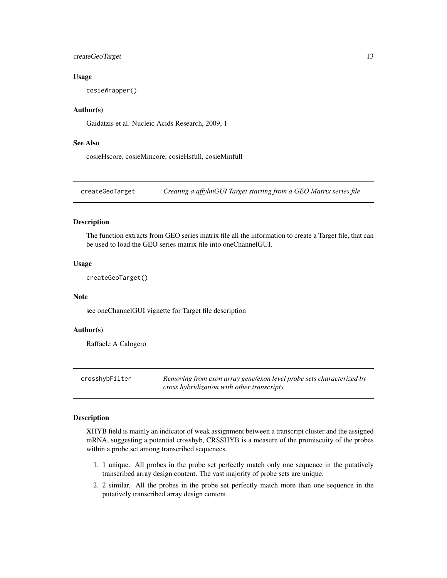## <span id="page-12-0"></span>createGeoTarget 13

#### Usage

cosieWrapper()

#### Author(s)

Gaidatzis et al. Nucleic Acids Research, 2009, 1

#### See Also

cosieHscore, cosieMmcore, cosieHsfull, cosieMmfull

createGeoTarget *Creating a affylmGUI Target starting from a GEO Matrix series file*

## Description

The function extracts from GEO series matrix file all the information to create a Target file, that can be used to load the GEO series matrix file into oneChannelGUI.

#### Usage

createGeoTarget()

#### Note

see oneChannelGUI vignette for Target file description

## Author(s)

Raffaele A Calogero

| crosshybFilter | Removing from exon array gene/exon level probe sets characterized by |
|----------------|----------------------------------------------------------------------|
|                | cross hybridization with other transcripts                           |

#### Description

XHYB field is mainly an indicator of weak assignment between a transcript cluster and the assigned mRNA, suggesting a potential crosshyb, CRSSHYB is a measure of the promiscuity of the probes within a probe set among transcribed sequences.

- 1. 1 unique. All probes in the probe set perfectly match only one sequence in the putatively transcribed array design content. The vast majority of probe sets are unique.
- 2. 2 similar. All the probes in the probe set perfectly match more than one sequence in the putatively transcribed array design content.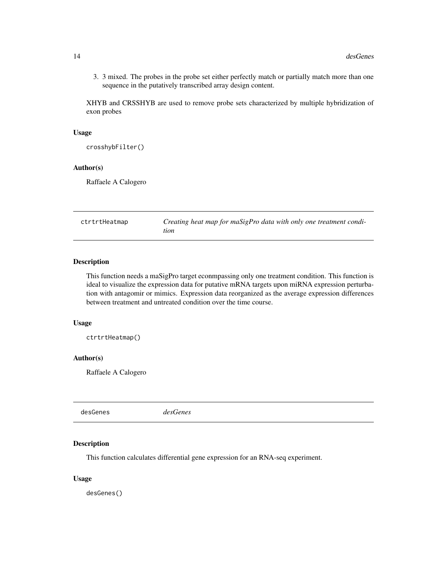<span id="page-13-0"></span>3. 3 mixed. The probes in the probe set either perfectly match or partially match more than one sequence in the putatively transcribed array design content.

XHYB and CRSSHYB are used to remove probe sets characterized by multiple hybridization of exon probes

#### Usage

crosshybFilter()

## Author(s)

Raffaele A Calogero

| ctrtrtHeatmap | Creating heat map for maSigPro data with only one treatment condi- |
|---------------|--------------------------------------------------------------------|
|               | tion                                                               |

#### Description

This function needs a maSigPro target econmpassing only one treatment condition. This function is ideal to visualize the expression data for putative mRNA targets upon miRNA expression perturbation with antagomir or mimics. Expression data reorganized as the average expression differences between treatment and untreated condition over the time course.

#### Usage

ctrtrtHeatmap()

#### Author(s)

Raffaele A Calogero

desGenes *desGenes*

## Description

This function calculates differential gene expression for an RNA-seq experiment.

## Usage

desGenes()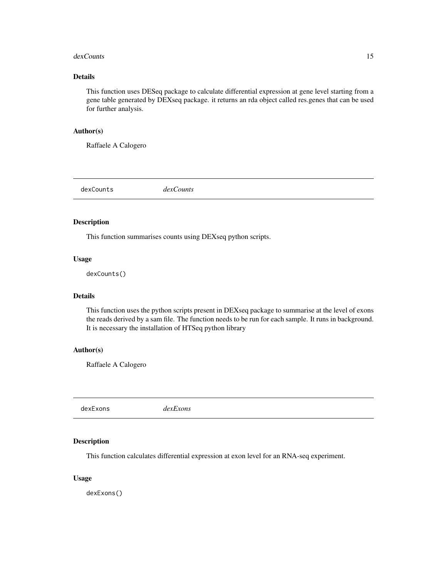#### <span id="page-14-0"></span>dexCounts and the set of the set of the set of the set of the set of the set of the set of the set of the set of the set of the set of the set of the set of the set of the set of the set of the set of the set of the set of

## Details

This function uses DESeq package to calculate differential expression at gene level starting from a gene table generated by DEXseq package. it returns an rda object called res.genes that can be used for further analysis.

#### Author(s)

Raffaele A Calogero

dexCounts *dexCounts*

## Description

This function summarises counts using DEXseq python scripts.

#### Usage

dexCounts()

#### Details

This function uses the python scripts present in DEXseq package to summarise at the level of exons the reads derived by a sam file. The function needs to be run for each sample. It runs in background. It is necessary the installation of HTSeq python library

#### Author(s)

Raffaele A Calogero

dexExons *dexExons*

## Description

This function calculates differential expression at exon level for an RNA-seq experiment.

## Usage

dexExons()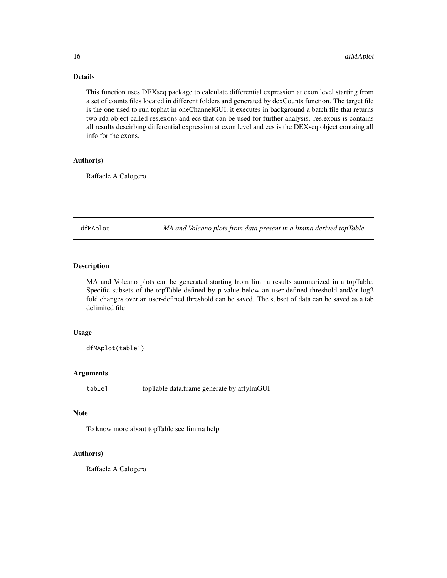## <span id="page-15-0"></span>Details

This function uses DEXseq package to calculate differential expression at exon level starting from a set of counts files located in different folders and generated by dexCounts function. The target file is the one used to run tophat in oneChannelGUI. it executes in background a batch file that returns two rda object called res.exons and ecs that can be used for further analysis. res.exons is contains all results descirbing differential expression at exon level and ecs is the DEXseq object containg all info for the exons.

## Author(s)

Raffaele A Calogero

dfMAplot *MA and Volcano plots from data present in a limma derived topTable*

## Description

MA and Volcano plots can be generated starting from limma results summarized in a topTable. Specific subsets of the topTable defined by p-value below an user-defined threshold and/or log2 fold changes over an user-defined threshold can be saved. The subset of data can be saved as a tab delimited file

#### Usage

```
dfMAplot(table1)
```
## Arguments

table1 topTable data.frame generate by affylmGUI

## Note

To know more about topTable see limma help

## Author(s)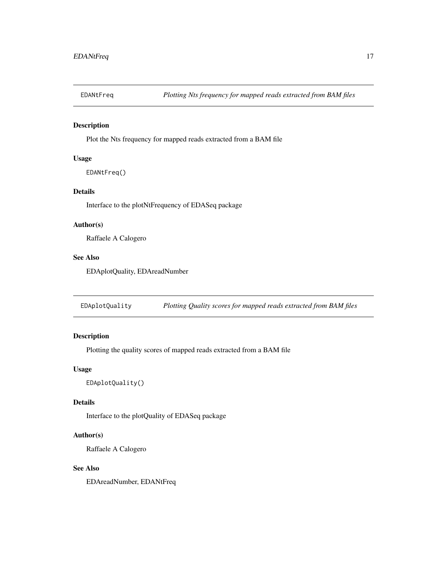<span id="page-16-0"></span>

Plot the Nts frequency for mapped reads extracted from a BAM file

## Usage

```
EDANtFreq()
```
## Details

Interface to the plotNtFrequency of EDASeq package

## Author(s)

Raffaele A Calogero

## See Also

EDAplotQuality, EDAreadNumber

EDAplotQuality *Plotting Quality scores for mapped reads extracted from BAM files*

## Description

Plotting the quality scores of mapped reads extracted from a BAM file

## Usage

EDAplotQuality()

## Details

Interface to the plotQuality of EDASeq package

## Author(s)

Raffaele A Calogero

## See Also

EDAreadNumber, EDANtFreq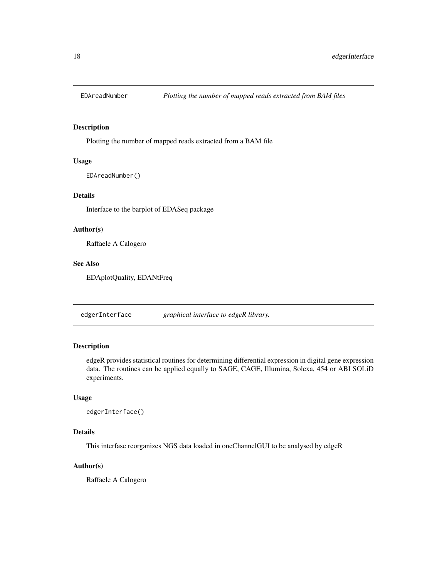<span id="page-17-0"></span>

Plotting the number of mapped reads extracted from a BAM file

## Usage

EDAreadNumber()

## Details

Interface to the barplot of EDASeq package

## Author(s)

Raffaele A Calogero

## See Also

EDAplotQuality, EDANtFreq

edgerInterface *graphical interface to edgeR library.*

## Description

edgeR provides statistical routines for determining differential expression in digital gene expression data. The routines can be applied equally to SAGE, CAGE, Illumina, Solexa, 454 or ABI SOLiD experiments.

## Usage

```
edgerInterface()
```
## Details

This interfase reorganizes NGS data loaded in oneChannelGUI to be analysed by edgeR

## Author(s)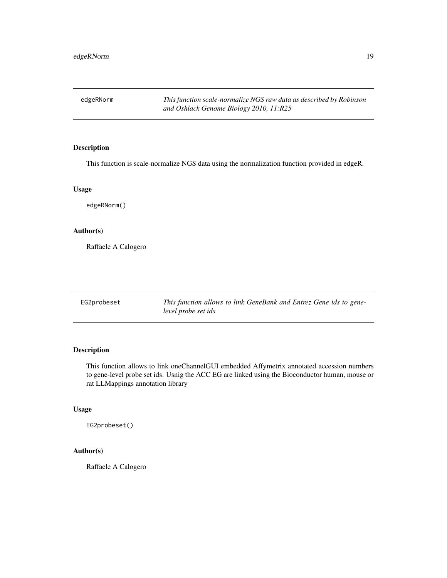<span id="page-18-0"></span>edgeRNorm *This function scale-normalize NGS raw data as described by Robinson and Oshlack Genome Biology 2010, 11:R25*

## Description

This function is scale-normalize NGS data using the normalization function provided in edgeR.

## Usage

edgeRNorm()

## Author(s)

Raffaele A Calogero

EG2probeset *This function allows to link GeneBank and Entrez Gene ids to genelevel probe set ids*

## Description

This function allows to link oneChannelGUI embedded Affymetrix annotated accession numbers to gene-level probe set ids. Usnig the ACC EG are linked using the Bioconductor human, mouse or rat LLMappings annotation library

## Usage

EG2probeset()

## Author(s)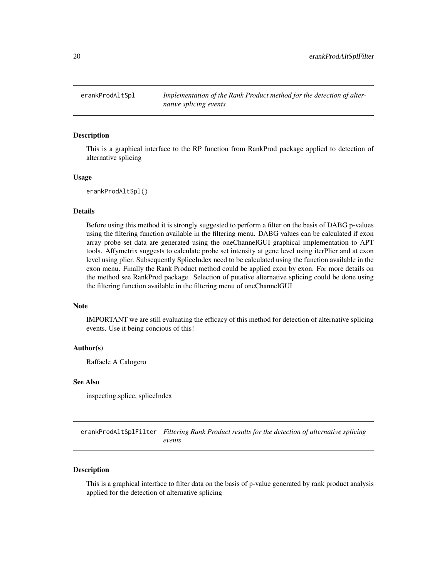<span id="page-19-0"></span>erankProdAltSpl *Implementation of the Rank Product method for the detection of alternative splicing events*

#### **Description**

This is a graphical interface to the RP function from RankProd package applied to detection of alternative splicing

#### Usage

erankProdAltSpl()

#### Details

Before using this method it is strongly suggested to perform a filter on the basis of DABG p-values using the filtering function available in the filtering menu. DABG values can be calculated if exon array probe set data are generated using the oneChannelGUI graphical implementation to APT tools. Affymetrix suggests to calculate probe set intensity at gene level using iterPlier and at exon level using plier. Subsequently SpliceIndex need to be calculated using the function available in the exon menu. Finally the Rank Product method could be applied exon by exon. For more details on the method see RankProd package. Selection of putative alternative splicing could be done using the filtering function available in the filtering menu of oneChannelGUI

#### Note

IMPORTANT we are still evaluating the efficacy of this method for detection of alternative splicing events. Use it being concious of this!

#### Author(s)

Raffaele A Calogero

#### See Also

inspecting.splice, spliceIndex

erankProdAltSplFilter *Filtering Rank Product results for the detection of alternative splicing events*

#### Description

This is a graphical interface to filter data on the basis of p-value generated by rank product analysis applied for the detection of alternative splicing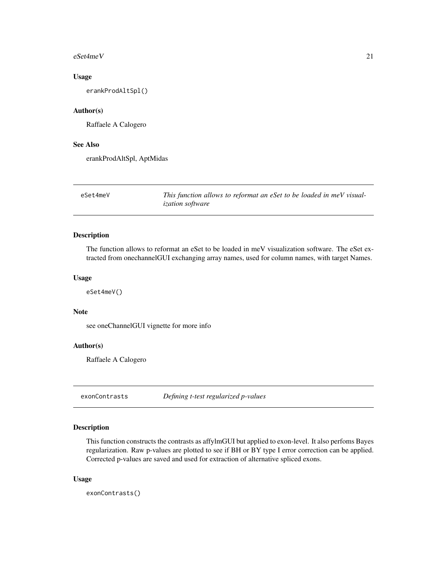#### <span id="page-20-0"></span> $eSet4meV$  21

## Usage

erankProdAltSpl()

#### Author(s)

Raffaele A Calogero

## See Also

erankProdAltSpl, AptMidas

| eSet4meV | This function allows to reformat an eSet to be loaded in meV visual- |
|----------|----------------------------------------------------------------------|
|          | <i>ization software</i>                                              |

## Description

The function allows to reformat an eSet to be loaded in meV visualization software. The eSet extracted from onechannelGUI exchanging array names, used for column names, with target Names.

## Usage

eSet4meV()

## Note

see oneChannelGUI vignette for more info

## Author(s)

Raffaele A Calogero

exonContrasts *Defining t-test regularized p-values*

## Description

This function constructs the contrasts as affylmGUI but applied to exon-level. It also perfoms Bayes regularization. Raw p-values are plotted to see if BH or BY type I error correction can be applied. Corrected p-values are saved and used for extraction of alternative spliced exons.

## Usage

exonContrasts()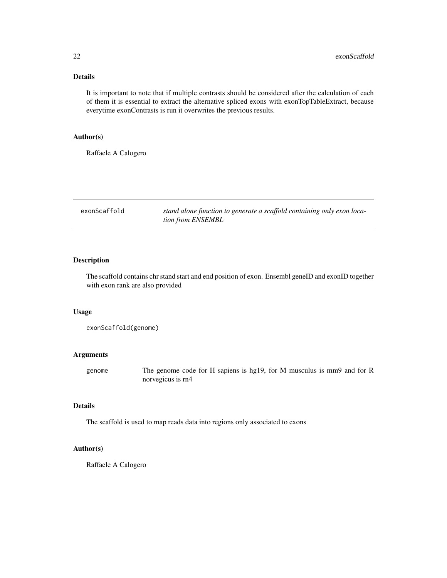## <span id="page-21-0"></span>Details

It is important to note that if multiple contrasts should be considered after the calculation of each of them it is essential to extract the alternative spliced exons with exonTopTableExtract, because everytime exonContrasts is run it overwrites the previous results.

## Author(s)

Raffaele A Calogero

exonScaffold *stand alone function to generate a scaffold containing only exon location from ENSEMBL*

## Description

The scaffold contains chr stand start and end position of exon. Ensembl geneID and exonID together with exon rank are also provided

#### Usage

exonScaffold(genome)

#### Arguments

genome The genome code for H sapiens is hg19, for M musculus is mm9 and for R norvegicus is rn4

## Details

The scaffold is used to map reads data into regions only associated to exons

#### Author(s)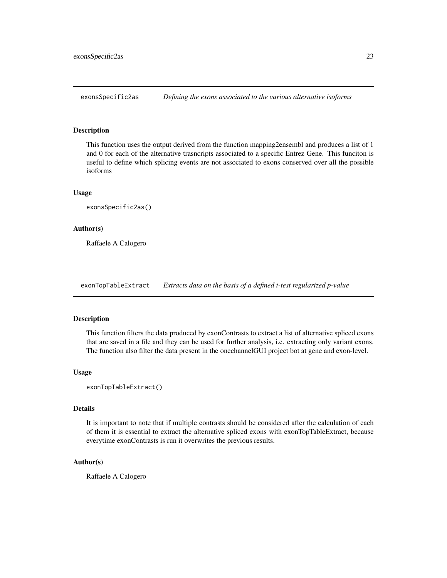<span id="page-22-0"></span>

This function uses the output derived from the function mapping2ensembl and produces a list of 1 and 0 for each of the alternative trasncripts associated to a specific Entrez Gene. This funciton is useful to define which splicing events are not associated to exons conserved over all the possible isoforms

#### Usage

exonsSpecific2as()

#### Author(s)

Raffaele A Calogero

exonTopTableExtract *Extracts data on the basis of a defined t-test regularized p-value*

#### Description

This function filters the data produced by exonContrasts to extract a list of alternative spliced exons that are saved in a file and they can be used for further analysis, i.e. extracting only variant exons. The function also filter the data present in the onechannelGUI project bot at gene and exon-level.

## Usage

```
exonTopTableExtract()
```
#### Details

It is important to note that if multiple contrasts should be considered after the calculation of each of them it is essential to extract the alternative spliced exons with exonTopTableExtract, because everytime exonContrasts is run it overwrites the previous results.

#### Author(s)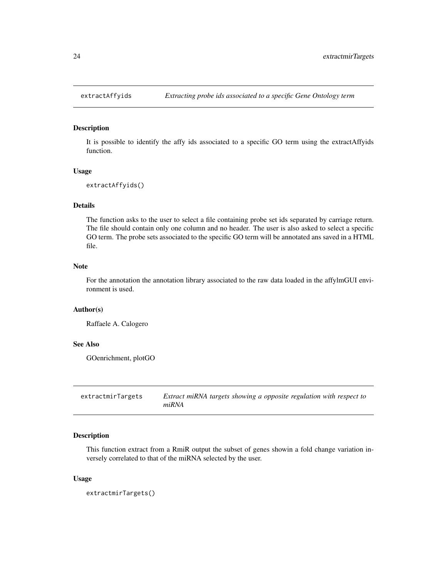<span id="page-23-0"></span>

It is possible to identify the affy ids associated to a specific GO term using the extractAffyids function.

#### Usage

```
extractAffyids()
```
## Details

The function asks to the user to select a file containing probe set ids separated by carriage return. The file should contain only one column and no header. The user is also asked to select a specific GO term. The probe sets associated to the specific GO term will be annotated ans saved in a HTML file.

## Note

For the annotation the annotation library associated to the raw data loaded in the affylmGUI environment is used.

## Author(s)

Raffaele A. Calogero

## See Also

GOenrichment, plotGO

extractmirTargets *Extract miRNA targets showing a opposite regulation with respect to miRNA*

## Description

This function extract from a RmiR output the subset of genes showin a fold change variation inversely correlated to that of the miRNA selected by the user.

#### Usage

extractmirTargets()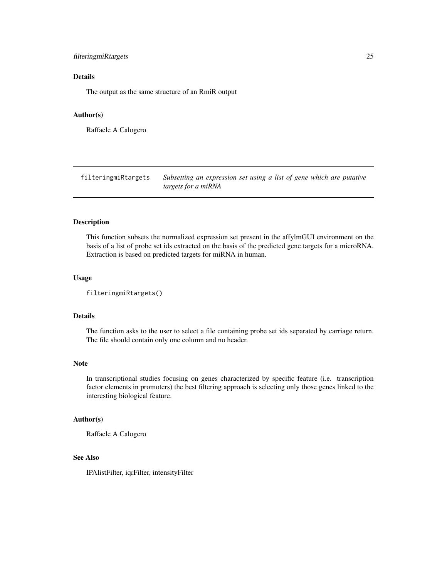## <span id="page-24-0"></span>filteringmiRtargets 25

## Details

The output as the same structure of an RmiR output

#### Author(s)

Raffaele A Calogero

filteringmiRtargets *Subsetting an expression set using a list of gene which are putative targets for a miRNA*

## Description

This function subsets the normalized expression set present in the affylmGUI environment on the basis of a list of probe set ids extracted on the basis of the predicted gene targets for a microRNA. Extraction is based on predicted targets for miRNA in human.

#### Usage

```
filteringmiRtargets()
```
#### Details

The function asks to the user to select a file containing probe set ids separated by carriage return. The file should contain only one column and no header.

#### Note

In transcriptional studies focusing on genes characterized by specific feature (i.e. transcription factor elements in promoters) the best filtering approach is selecting only those genes linked to the interesting biological feature.

#### Author(s)

Raffaele A Calogero

## See Also

IPAlistFilter, iqrFilter, intensityFilter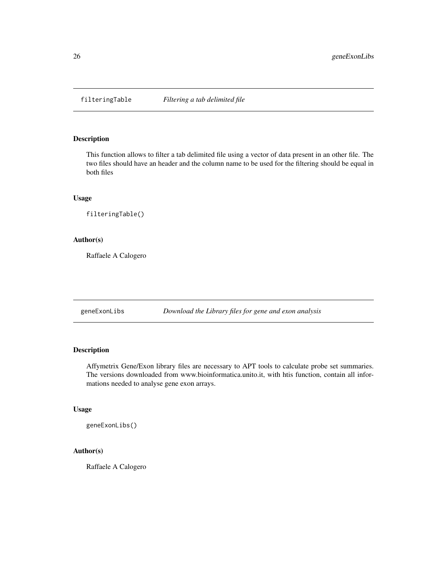<span id="page-25-0"></span>

This function allows to filter a tab delimited file using a vector of data present in an other file. The two files should have an header and the column name to be used for the filtering should be equal in both files

#### Usage

```
filteringTable()
```
#### Author(s)

Raffaele A Calogero

geneExonLibs *Download the Library files for gene and exon analysis*

## Description

Affymetrix Gene/Exon library files are necessary to APT tools to calculate probe set summaries. The versions downloaded from www.bioinformatica.unito.it, with htis function, contain all informations needed to analyse gene exon arrays.

## Usage

```
geneExonLibs()
```
## Author(s)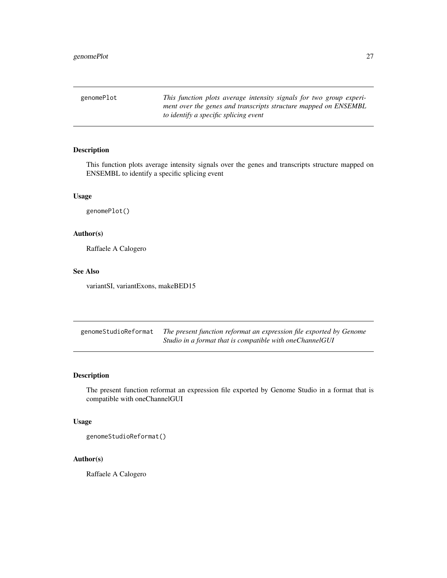<span id="page-26-0"></span>genomePlot *This function plots average intensity signals for two group experiment over the genes and transcripts structure mapped on ENSEMBL to identify a specific splicing event*

## Description

This function plots average intensity signals over the genes and transcripts structure mapped on ENSEMBL to identify a specific splicing event

## Usage

genomePlot()

## Author(s)

Raffaele A Calogero

#### See Also

variantSI, variantExons, makeBED15

genomeStudioReformat *The present function reformat an expression file exported by Genome Studio in a format that is compatible with oneChannelGUI*

## Description

The present function reformat an expression file exported by Genome Studio in a format that is compatible with oneChannelGUI

## Usage

genomeStudioReformat()

#### Author(s)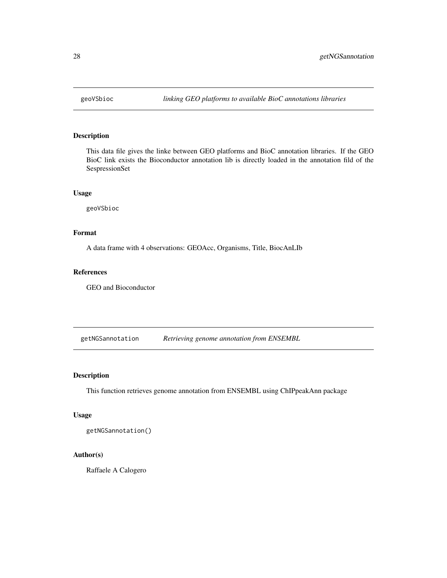<span id="page-27-0"></span>

This data file gives the linke between GEO platforms and BioC annotation libraries. If the GEO BioC link exists the Bioconductor annotation lib is directly loaded in the annotation fild of the SespressionSet

#### Usage

geoVSbioc

## Format

A data frame with 4 observations: GEOAcc, Organisms, Title, BiocAnLIb

## References

GEO and Bioconductor

getNGSannotation *Retrieving genome annotation from ENSEMBL*

## Description

This function retrieves genome annotation from ENSEMBL using ChIPpeakAnn package

#### Usage

getNGSannotation()

## Author(s)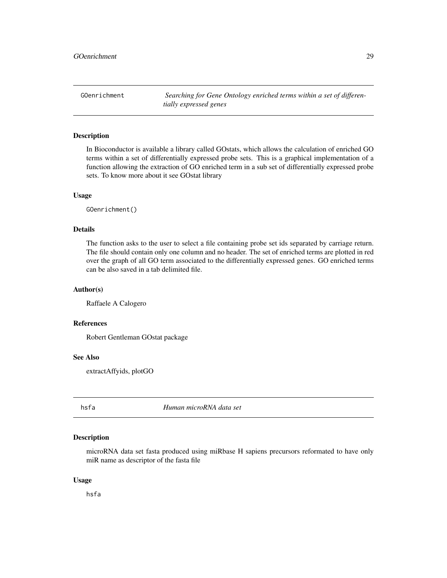<span id="page-28-0"></span>GOenrichment *Searching for Gene Ontology enriched terms within a set of differentially expressed genes*

#### Description

In Bioconductor is available a library called GOstats, which allows the calculation of enriched GO terms within a set of differentially expressed probe sets. This is a graphical implementation of a function allowing the extraction of GO enriched term in a sub set of differentially expressed probe sets. To know more about it see GOstat library

#### Usage

GOenrichment()

## Details

The function asks to the user to select a file containing probe set ids separated by carriage return. The file should contain only one column and no header. The set of enriched terms are plotted in red over the graph of all GO term associated to the differentially expressed genes. GO enriched terms can be also saved in a tab delimited file.

## Author(s)

Raffaele A Calogero

#### References

Robert Gentleman GOstat package

## See Also

extractAffyids, plotGO

hsfa *Human microRNA data set*

## Description

microRNA data set fasta produced using miRbase H sapiens precursors reformated to have only miR name as descriptor of the fasta file

#### Usage

hsfa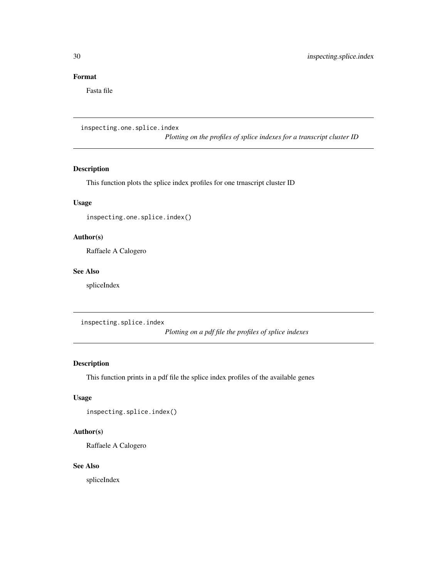## <span id="page-29-0"></span>Format

Fasta file

inspecting.one.splice.index

*Plotting on the profiles of splice indexes for a transcript cluster ID*

## Description

This function plots the splice index profiles for one trnascript cluster ID

## Usage

inspecting.one.splice.index()

## Author(s)

Raffaele A Calogero

## See Also

spliceIndex

inspecting.splice.index

*Plotting on a pdf file the profiles of splice indexes*

## Description

This function prints in a pdf file the splice index profiles of the available genes

## Usage

inspecting.splice.index()

## Author(s)

Raffaele A Calogero

## See Also

spliceIndex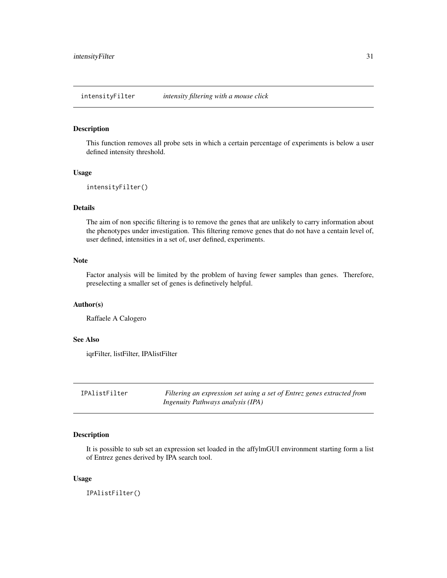<span id="page-30-0"></span>intensityFilter *intensity filtering with a mouse click*

## Description

This function removes all probe sets in which a certain percentage of experiments is below a user defined intensity threshold.

#### Usage

```
intensityFilter()
```
#### Details

The aim of non specific filtering is to remove the genes that are unlikely to carry information about the phenotypes under investigation. This filtering remove genes that do not have a centain level of, user defined, intensities in a set of, user defined, experiments.

## Note

Factor analysis will be limited by the problem of having fewer samples than genes. Therefore, preselecting a smaller set of genes is definetively helpful.

## Author(s)

Raffaele A Calogero

#### See Also

iqrFilter, listFilter, IPAlistFilter

| IPAlistFilter | Filtering an expression set using a set of Entrez genes extracted from |
|---------------|------------------------------------------------------------------------|
|               | <i>Ingenuity Pathways analysis (IPA)</i>                               |

## Description

It is possible to sub set an expression set loaded in the affylmGUI environment starting form a list of Entrez genes derived by IPA search tool.

#### Usage

IPAlistFilter()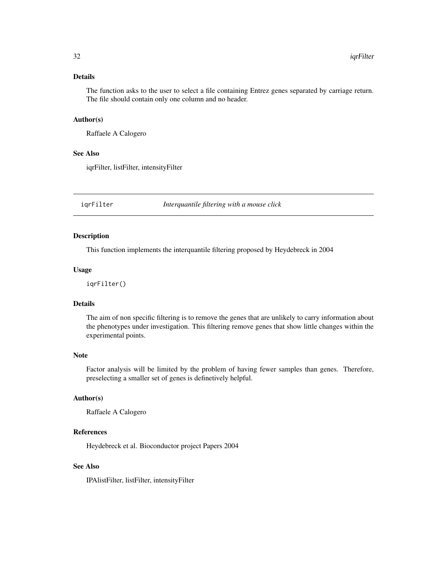## <span id="page-31-0"></span>Details

The function asks to the user to select a file containing Entrez genes separated by carriage return. The file should contain only one column and no header.

## Author(s)

Raffaele A Calogero

#### See Also

iqrFilter, listFilter, intensityFilter

iqrFilter *Interquantile filtering with a mouse click*

#### Description

This function implements the interquantile filtering proposed by Heydebreck in 2004

#### Usage

iqrFilter()

#### Details

The aim of non specific filtering is to remove the genes that are unlikely to carry information about the phenotypes under investigation. This filtering remove genes that show little changes within the experimental points.

#### Note

Factor analysis will be limited by the problem of having fewer samples than genes. Therefore, preselecting a smaller set of genes is definetively helpful.

#### Author(s)

Raffaele A Calogero

## References

Heydebreck et al. Bioconductor project Papers 2004

## See Also

IPAlistFilter, listFilter, intensityFilter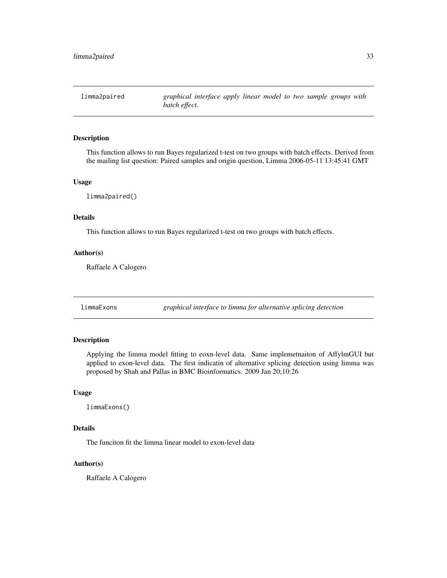<span id="page-32-0"></span>limma2paired *graphical interface apply linear model to two sample groups with batch effect.*

#### Description

This function allows to run Bayes regularized t-test on two groups with batch effects. Derived from the mailing list question: Paired samples and origin question, Limma 2006-05-11 13:45:41 GMT

#### Usage

limma2paired()

#### Details

This function allows to run Bayes regularized t-test on two groups with batch effects.

#### Author(s)

Raffaele A Calogero

limmaExons *graphical interface to limma for alternative splicing detection*

#### Description

Applying the limma model fitting to eoxn-level data. Same implemetnaiton of AffylmGUI but applied to exon-level data. The first indicatin of alternative splicing detection using limma was proposed by Shah and Pallas in BMC Bioinformatics. 2009 Jan 20;10:26

#### Usage

limmaExons()

#### Details

The funciton fit the limma linear model to exon-level data

#### Author(s)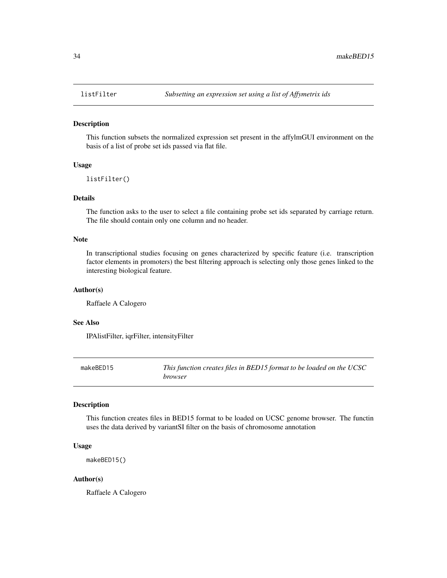<span id="page-33-0"></span>

This function subsets the normalized expression set present in the affylmGUI environment on the basis of a list of probe set ids passed via flat file.

#### Usage

listFilter()

## Details

The function asks to the user to select a file containing probe set ids separated by carriage return. The file should contain only one column and no header.

#### Note

In transcriptional studies focusing on genes characterized by specific feature (i.e. transcription factor elements in promoters) the best filtering approach is selecting only those genes linked to the interesting biological feature.

#### Author(s)

Raffaele A Calogero

## See Also

IPAlistFilter, iqrFilter, intensityFilter

makeBED15 *This function creates files in BED15 format to be loaded on the UCSC browser*

## Description

This function creates files in BED15 format to be loaded on UCSC genome browser. The functin uses the data derived by variantSI filter on the basis of chromosome annotation

#### Usage

makeBED15()

#### Author(s)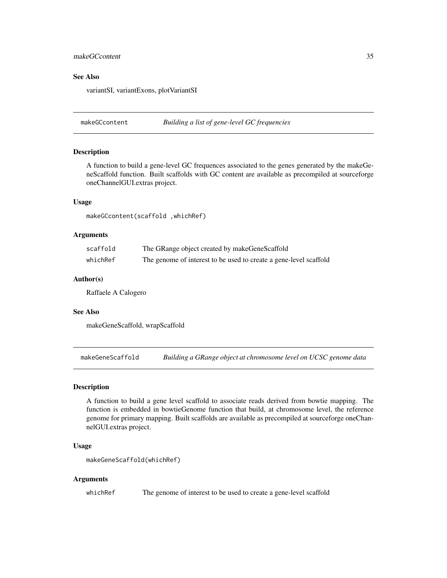## <span id="page-34-0"></span>makeGCcontent 35

## See Also

variantSI, variantExons, plotVariantSI

makeGCcontent *Building a list of gene-level GC frequencies*

## Description

A function to build a gene-level GC frequences associated to the genes generated by the makeGeneScaffold function. Built scaffolds with GC content are available as precompiled at sourceforge oneChannelGUI.extras project.

#### Usage

makeGCcontent(scaffold ,whichRef)

## Arguments

| scaffold | The GRange object created by makeGeneScaffold                     |
|----------|-------------------------------------------------------------------|
| whichRef | The genome of interest to be used to create a gene-level scaffold |

#### Author(s)

Raffaele A Calogero

#### See Also

makeGeneScaffold, wrapScaffold

makeGeneScaffold *Building a GRange object at chromosome level on UCSC genome data*

#### Description

A function to build a gene level scaffold to associate reads derived from bowtie mapping. The function is embedded in bowtieGenome function that build, at chromosome level, the reference genome for primary mapping. Built scaffolds are available as precompiled at sourceforge oneChannelGUI.extras project.

#### Usage

```
makeGeneScaffold(whichRef)
```
#### Arguments

whichRef The genome of interest to be used to create a gene-level scaffold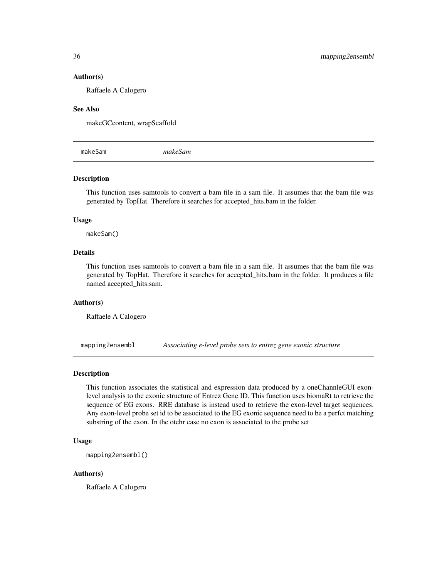#### Author(s)

Raffaele A Calogero

#### See Also

makeGCcontent, wrapScaffold

makeSam *makeSam*

#### Description

This function uses samtools to convert a bam file in a sam file. It assumes that the bam file was generated by TopHat. Therefore it searches for accepted\_hits.bam in the folder.

#### Usage

makeSam()

## Details

This function uses samtools to convert a bam file in a sam file. It assumes that the bam file was generated by TopHat. Therefore it searches for accepted\_hits.bam in the folder. It produces a file named accepted\_hits.sam.

#### Author(s)

Raffaele A Calogero

mapping2ensembl *Associating e-level probe sets to entrez gene exonic structure*

## Description

This function associates the statistical and expression data produced by a oneChannleGUI exonlevel analysis to the exonic structure of Entrez Gene ID. This function uses biomaRt to retrieve the sequence of EG exons. RRE database is instead used to retrieve the exon-level target sequences. Any exon-level probe set id to be associated to the EG exonic sequence need to be a perfct matching substring of the exon. In the otehr case no exon is associated to the probe set

#### Usage

```
mapping2ensembl()
```
#### Author(s)

<span id="page-35-0"></span>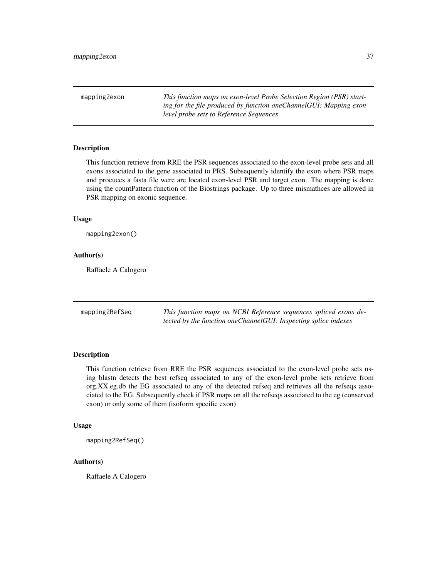mapping2exon *This function maps on exon-level Probe Selection Region (PSR) starting for the file produced by function oneChannelGUI: Mapping exon level probe sets to Reference Sequences*

# Description

This function retrieve from RRE the PSR sequences associated to the exon-level probe sets and all exons associated to the gene associated to PRS. Subsequently identify the exon where PSR maps and procuces a fasta file were are located exon-level PSR and target exon. The mapping is done using the countPattern function of the Biostrings package. Up to three mismathces are allowed in PSR mapping on exonic sequence.

#### Usage

mapping2exon()

### Author(s)

Raffaele A Calogero

mapping2RefSeq *This function maps on NCBI Reference sequences spliced exons detected by the function oneChannelGUI: Inspecting splice indexes*

### Description

This function retrieve from RRE the PSR sequences associated to the exon-level probe sets using blastn detects the best refseq associated to any of the exon-level probe sets retrieve from org.XX.eg.db the EG associated to any of the detected refseq and retrieves all the refseqs associated to the EG. Subsequently check if PSR maps on all the refseqs associated to the eg (conserved exon) or only some of them (isoform specific exon)

### Usage

```
mapping2RefSeq()
```
## Author(s)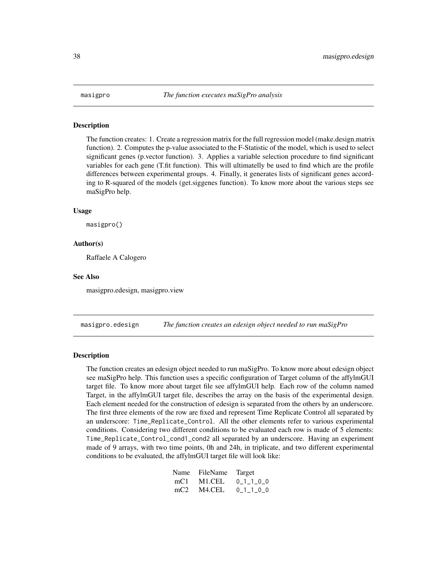The function creates: 1. Create a regression matrix for the full regression model (make.design.matrix function). 2. Computes the p-value associated to the F-Statistic of the model, which is used to select significant genes (p.vector function). 3. Applies a variable selection procedure to find significant variables for each gene (T.fit function). This will ultimatelly be used to find which are the profile differences between experimental groups. 4. Finally, it generates lists of significant genes according to R-squared of the models (get.siggenes function). To know more about the various steps see maSigPro help.

#### Usage

masigpro()

## Author(s)

Raffaele A Calogero

### See Also

masigpro.edesign, masigpro.view

masigpro.edesign *The function creates an edesign object needed to run maSigPro*

## Description

The function creates an edesign object needed to run maSigPro. To know more about edesign object see maSigPro help. This function uses a specific configuration of Target column of the affylmGUI target file. To know more about target file see affylmGUI help. Each row of the column named Target, in the affylmGUI target file, describes the array on the basis of the experimental design. Each element needed for the construction of edesign is separated from the others by an underscore. The first three elements of the row are fixed and represent Time Replicate Control all separated by an underscore: Time\_Replicate\_Control. All the other elements refer to various experimental conditions. Considering two different conditions to be evaluated each row is made of 5 elements: Time\_Replicate\_Control\_cond1\_cond2 all separated by an underscore. Having an experiment made of 9 arrays, with two time points, 0h and 24h, in triplicate, and two different experimental conditions to be evaluated, the affylmGUI target file will look like:

| Name FileName Target |           |
|----------------------|-----------|
| mC1 M1.CEL           | 0 1 1 0 0 |
| $mc2$ M4.CEL         | 0 1 1 0 0 |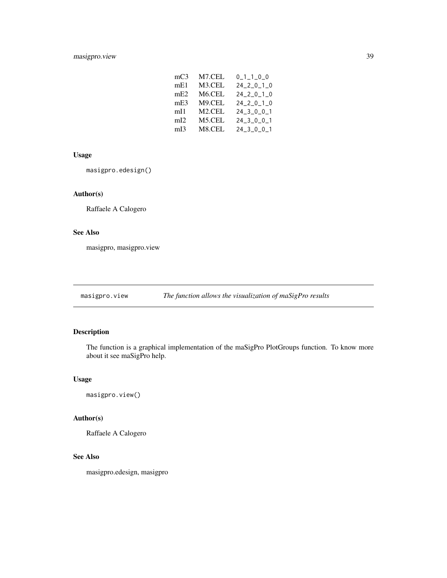# masigpro.view 39

| mC3 | M7.CEL              | $0_1_1_0_0$          |
|-----|---------------------|----------------------|
| mE1 | M3.CEL              | $24 - 2 - 0 - 1 - 0$ |
| mE2 | M <sub>6</sub> .CEL | $24 - 2 - 0 - 1 - 0$ |
| mE3 | M9.CEL              | $24 - 2 - 0 - 1 - 0$ |
| mI1 | M <sub>2</sub> .CEL | $24 - 3 - 0 - 0 - 1$ |
| mI2 | M5.CEL              | $24 - 3 - 0 - 0 - 1$ |
| mI3 | M8.CEL              | $24 - 3 - 0 - 0 - 1$ |

# Usage

masigpro.edesign()

# Author(s)

Raffaele A Calogero

# See Also

masigpro, masigpro.view

masigpro.view *The function allows the visualization of maSigPro results*

# Description

The function is a graphical implementation of the maSigPro PlotGroups function. To know more about it see maSigPro help.

## Usage

```
masigpro.view()
```
# Author(s)

Raffaele A Calogero

## See Also

masigpro.edesign, masigpro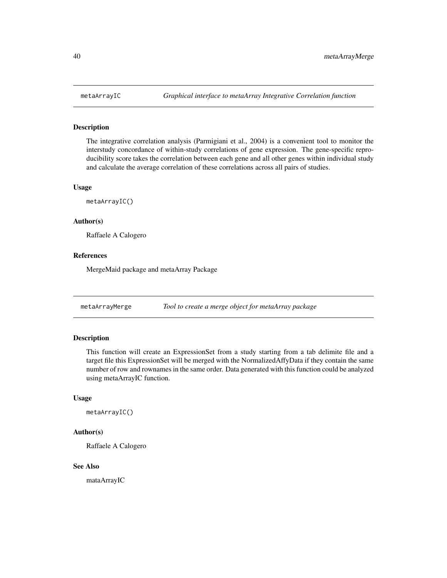The integrative correlation analysis (Parmigiani et al., 2004) is a convenient tool to monitor the interstudy concordance of within-study correlations of gene expression. The gene-specific reproducibility score takes the correlation between each gene and all other genes within individual study and calculate the average correlation of these correlations across all pairs of studies.

#### Usage

metaArrayIC()

### Author(s)

Raffaele A Calogero

## References

MergeMaid package and metaArray Package

metaArrayMerge *Tool to create a merge object for metaArray package*

## Description

This function will create an ExpressionSet from a study starting from a tab delimite file and a target file this ExpressionSet will be merged with the NormalizedAffyData if they contain the same number of row and rownames in the same order. Data generated with this function could be analyzed using metaArrayIC function.

#### Usage

```
metaArrayIC()
```
### Author(s)

Raffaele A Calogero

## See Also

mataArrayIC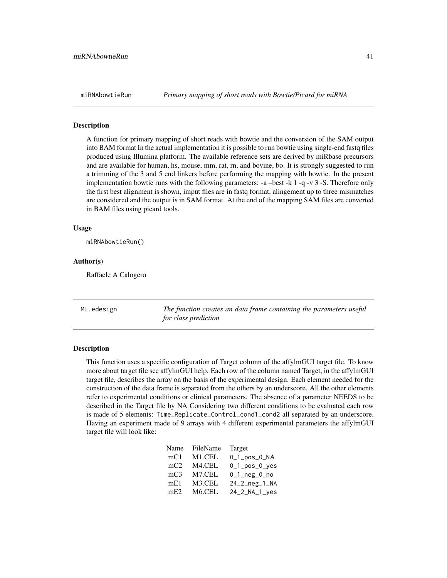A function for primary mapping of short reads with bowtie and the conversion of the SAM output into BAM format In the actual implementation it is possible to run bowtie using single-end fastq files produced using Illumina platform. The available reference sets are derived by miRbase precursors and are available for human, hs, mouse, mm, rat, rn, and bovine, bo. It is strongly suggested to run a trimming of the 3 and 5 end linkers before performing the mapping with bowtie. In the present implementation bowtie runs with the following parameters: -a –best -k 1 -q -v 3 -S. Therefore only the first best alignment is shown, imput files are in fastq format, alingement up to three mismatches are considered and the output is in SAM format. At the end of the mapping SAM files are converted in BAM files using picard tools.

### Usage

miRNAbowtieRun()

#### Author(s)

Raffaele A Calogero

ML.edesign *The function creates an data frame containing the parameters useful for class prediction*

#### Description

This function uses a specific configuration of Target column of the affylmGUI target file. To know more about target file see affylmGUI help. Each row of the column named Target, in the affylmGUI target file, describes the array on the basis of the experimental design. Each element needed for the construction of the data frame is separated from the others by an underscore. All the other elements refer to experimental conditions or clinical parameters. The absence of a parameter NEEDS to be described in the Target file by NA Considering two different conditions to be evaluated each row is made of 5 elements: Time\_Replicate\_Control\_cond1\_cond2 all separated by an underscore. Having an experiment made of 9 arrays with 4 different experimental parameters the affylmGUI target file will look like:

| Name            | FileName            | Target              |
|-----------------|---------------------|---------------------|
| mc1             | M <sub>1</sub> .CEL | $0_1$ _pos_ $0$ _NA |
| mc2             | M <sub>4</sub> .CEL | $0_1_pos_0_yes$     |
| mc <sub>3</sub> | M7.CEL              | $0_1_neg_0_n$       |
| mE1             | M3.CEL              | $24\_2\_neg\_1\_NA$ |
| mE2             | M <sub>6</sub> .CEL | $24_2M_A_1$         |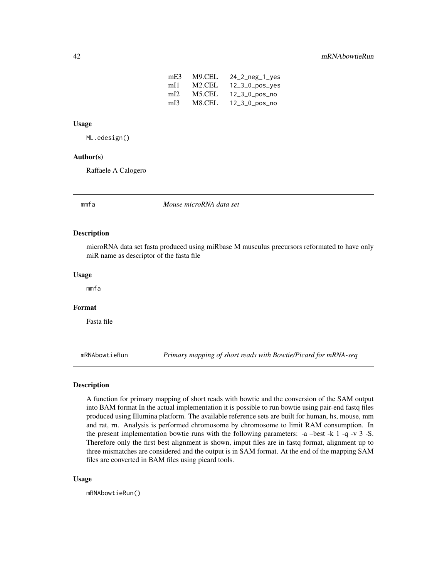| mE <sub>3</sub> | M9.CEL | $24$ <sup>-2</sup> $-$ neg <sup>-1</sup> yes |
|-----------------|--------|----------------------------------------------|
| mH              | M2.CEL | $12-3-0$ pos $y$ es                          |
| mI2             | M5.CEL | $12\_3\_0\_pos\_no$                          |
| mI <sub>3</sub> | M8.CEL | $12\_3\_0\_pos\_no$                          |

# Usage

ML.edesign()

### Author(s)

Raffaele A Calogero

mmfa *Mouse microRNA data set*

### Description

microRNA data set fasta produced using miRbase M musculus precursors reformated to have only miR name as descriptor of the fasta file

### Usage

mmfa

# Format

Fasta file

mRNAbowtieRun *Primary mapping of short reads with Bowtie/Picard for mRNA-seq*

## Description

A function for primary mapping of short reads with bowtie and the conversion of the SAM output into BAM format In the actual implementation it is possible to run bowtie using pair-end fastq files produced using Illumina platform. The available reference sets are built for human, hs, mouse, mm and rat, rn. Analysis is performed chromosome by chromosome to limit RAM consumption. In the present implementation bowtie runs with the following parameters: -a –best -k 1 -q -v 3 -S. Therefore only the first best alignment is shown, imput files are in fastq format, alignment up to three mismatches are considered and the output is in SAM format. At the end of the mapping SAM files are converted in BAM files using picard tools.

#### Usage

mRNAbowtieRun()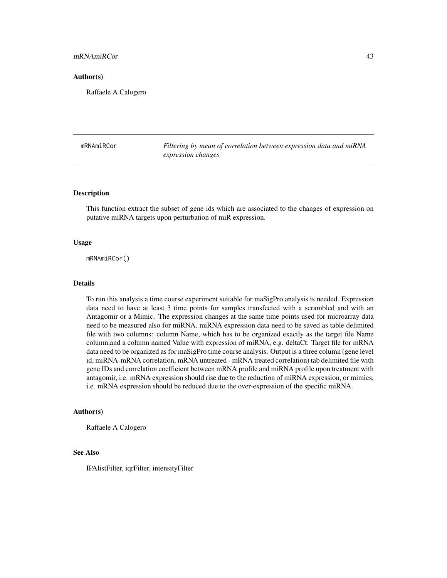## mRNAmiRCor 43

## Author(s)

Raffaele A Calogero

mRNAmiRCor *Filtering by mean of correlation between expression data and miRNA expression changes*

# **Description**

This function extract the subset of gene ids which are associated to the changes of expression on putative miRNA targets upon perturbation of miR expression.

### Usage

mRNAmiRCor()

### Details

To run this analysis a time course experiment suitable for maSigPro analysis is needed. Expression data need to have at least 3 time points for samples transfected with a scrambled and with an Antagomir or a Mimic. The expression changes at the same time points used for microarray data need to be measured also for miRNA. miRNA expression data need to be saved as table delimited file with two columns: column Name, which has to be organized exactly as the target file Name column,and a column named Value with expression of miRNA, e.g. deltaCt. Target file for mRNA data need to be organized as for maSigPro time course analysis. Output is a three column (gene level id, miRNA-mRNA correlation, mRNA untreated - mRNA treated correlation) tab delimited file with gene IDs and correlation coefficient between mRNA profile and miRNA profile upon treatment with antagomir, i.e. mRNA expression should rise due to the reduction of miRNA expression, or mimics, i.e. mRNA expression should be reduced due to the over-expression of the specific miRNA.

#### Author(s)

Raffaele A Calogero

### See Also

IPAlistFilter, iqrFilter, intensityFilter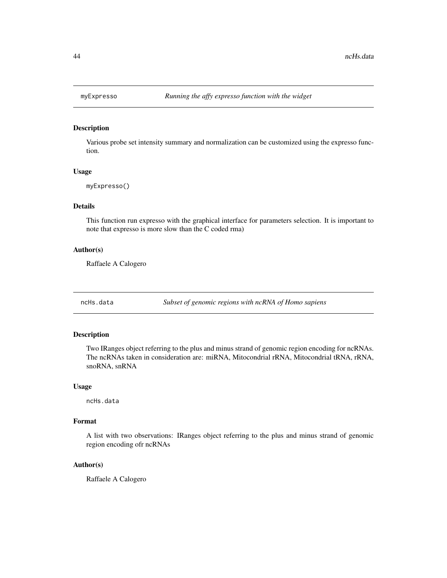Various probe set intensity summary and normalization can be customized using the expresso function.

# Usage

myExpresso()

## Details

This function run expresso with the graphical interface for parameters selection. It is important to note that expresso is more slow than the C coded rma)

## Author(s)

Raffaele A Calogero

ncHs.data *Subset of genomic regions with ncRNA of Homo sapiens*

#### Description

Two IRanges object referring to the plus and minus strand of genomic region encoding for ncRNAs. The ncRNAs taken in consideration are: miRNA, Mitocondrial rRNA, Mitocondrial tRNA, rRNA, snoRNA, snRNA

#### Usage

ncHs.data

# Format

A list with two observations: IRanges object referring to the plus and minus strand of genomic region encoding ofr ncRNAs

# Author(s)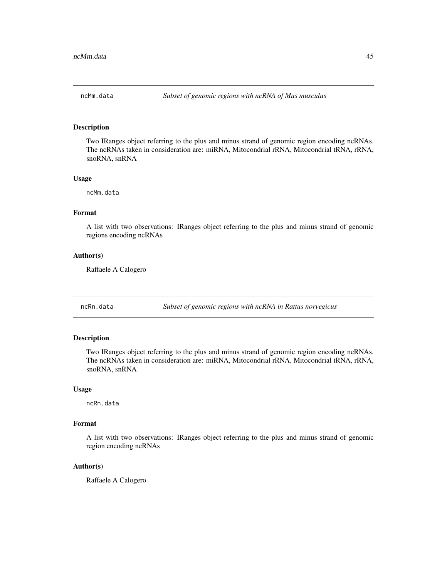Two IRanges object referring to the plus and minus strand of genomic region encoding ncRNAs. The ncRNAs taken in consideration are: miRNA, Mitocondrial rRNA, Mitocondrial tRNA, rRNA, snoRNA, snRNA

#### Usage

ncMm.data

# Format

A list with two observations: IRanges object referring to the plus and minus strand of genomic regions encoding ncRNAs

## Author(s)

Raffaele A Calogero

ncRn.data *Subset of genomic regions with ncRNA in Rattus norvegicus*

## Description

Two IRanges object referring to the plus and minus strand of genomic region encoding ncRNAs. The ncRNAs taken in consideration are: miRNA, Mitocondrial rRNA, Mitocondrial tRNA, rRNA, snoRNA, snRNA

#### Usage

ncRn.data

#### Format

A list with two observations: IRanges object referring to the plus and minus strand of genomic region encoding ncRNAs

## Author(s)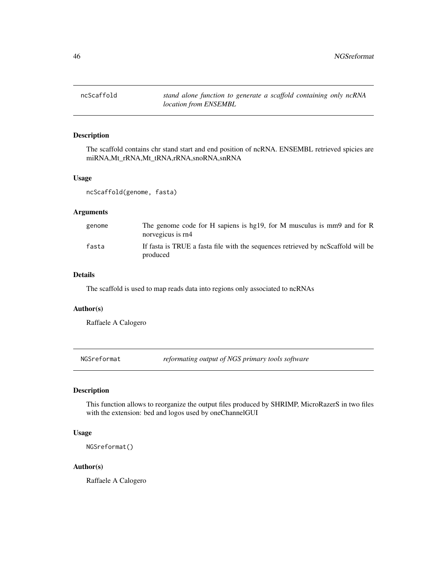46 NGSreformat

ncScaffold *stand alone function to generate a scaffold containing only ncRNA location from ENSEMBL*

## Description

The scaffold contains chr stand start and end position of ncRNA. ENSEMBL retrieved spicies are miRNA,Mt\_rRNA,Mt\_tRNA,rRNA,snoRNA,snRNA

# Usage

ncScaffold(genome, fasta)

## Arguments

| genome | The genome code for H sapiens is hg19, for M musculus is mm9 and for R<br>norvegicus is rn4  |
|--------|----------------------------------------------------------------------------------------------|
| fasta  | If fasta is TRUE a fasta file with the sequences retrieved by ncScaffold will be<br>produced |

## Details

The scaffold is used to map reads data into regions only associated to ncRNAs

# Author(s)

Raffaele A Calogero

NGSreformat *reformating output of NGS primary tools software* 

# Description

This function allows to reorganize the output files produced by SHRIMP, MicroRazerS in two files with the extension: bed and logos used by oneChannelGUI

# Usage

```
NGSreformat()
```
# Author(s)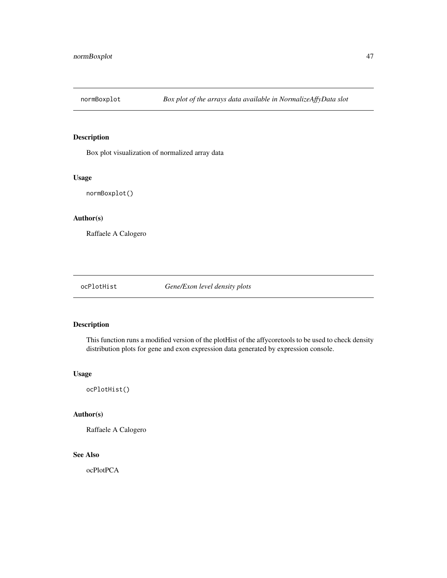Box plot visualization of normalized array data

## Usage

normBoxplot()

## Author(s)

Raffaele A Calogero

ocPlotHist *Gene/Exon level density plots*

# Description

This function runs a modified version of the plotHist of the affycoretools to be used to check density distribution plots for gene and exon expression data generated by expression console.

# Usage

ocPlotHist()

# Author(s)

Raffaele A Calogero

# See Also

ocPlotPCA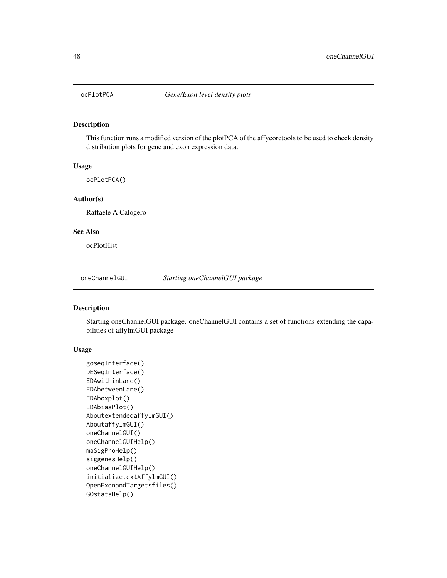This function runs a modified version of the plotPCA of the affycoretools to be used to check density distribution plots for gene and exon expression data.

#### Usage

ocPlotPCA()

### Author(s)

Raffaele A Calogero

### See Also

ocPlotHist

oneChannelGUI *Starting oneChannelGUI package*

### Description

Starting oneChannelGUI package. oneChannelGUI contains a set of functions extending the capabilities of affylmGUI package

# Usage

```
goseqInterface()
DESeqInterface()
EDAwithinLane()
EDAbetweenLane()
EDAboxplot()
EDAbiasPlot()
AboutextendedaffylmGUI()
AboutaffylmGUI()
oneChannelGUI()
oneChannelGUIHelp()
maSigProHelp()
siggenesHelp()
oneChannelGUIHelp()
initialize.extAffylmGUI()
OpenExonandTargetsfiles()
GOstatsHelp()
```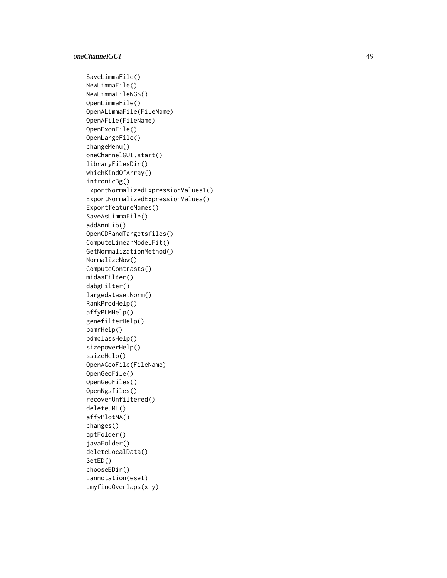SaveLimmaFile() NewLimmaFile() NewLimmaFileNGS() OpenLimmaFile() OpenALimmaFile(FileName) OpenAFile(FileName) OpenExonFile() OpenLargeFile() changeMenu() oneChannelGUI.start() libraryFilesDir() whichKindOfArray() intronicBg() ExportNormalizedExpressionValues1() ExportNormalizedExpressionValues() ExportfeatureNames() SaveAsLimmaFile() addAnnLib() OpenCDFandTargetsfiles() ComputeLinearModelFit() GetNormalizationMethod() NormalizeNow() ComputeContrasts() midasFilter() dabgFilter() largedatasetNorm() RankProdHelp() affyPLMHelp() genefilterHelp() pamrHelp() pdmclassHelp() sizepowerHelp() ssizeHelp() OpenAGeoFile(FileName) OpenGeoFile() OpenGeoFiles() OpenNgsfiles() recoverUnfiltered() delete.ML() affyPlotMA() changes() aptFolder() javaFolder() deleteLocalData() SetED() chooseEDir() .annotation(eset) .myfindOverlaps(x,y)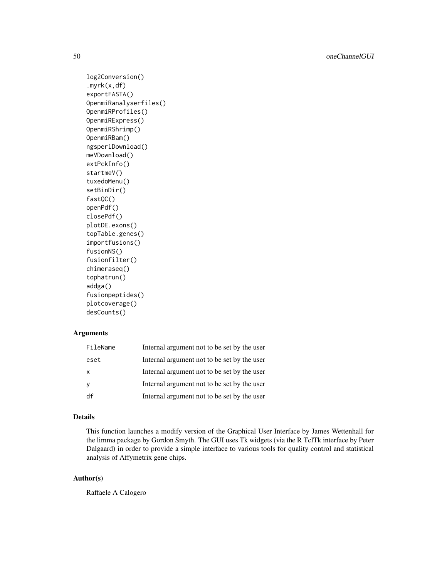```
log2Conversion()
.myrk(x,df)
exportFASTA()
OpenmiRanalyserfiles()
OpenmiRProfiles()
OpenmiRExpress()
OpenmiRShrimp()
OpenmiRBam()
ngsperlDownload()
meVDownload()
extPckInfo()
startmeV()
tuxedoMenu()
setBinDir()
fastQC()
openPdf()
closePdf()
plotDE.exons()
topTable.genes()
importfusions()
fusionNS()
fusionfilter()
chimeraseq()
tophatrun()
addga()
fusionpeptides()
plotcoverage()
desCounts()
```
# Arguments

| FileName | Internal argument not to be set by the user |
|----------|---------------------------------------------|
| eset     | Internal argument not to be set by the user |
| X        | Internal argument not to be set by the user |
| y        | Internal argument not to be set by the user |
| df       | Internal argument not to be set by the user |

## Details

This function launches a modify version of the Graphical User Interface by James Wettenhall for the limma package by Gordon Smyth. The GUI uses Tk widgets (via the R TclTk interface by Peter Dalgaard) in order to provide a simple interface to various tools for quality control and statistical analysis of Affymetrix gene chips.

# Author(s)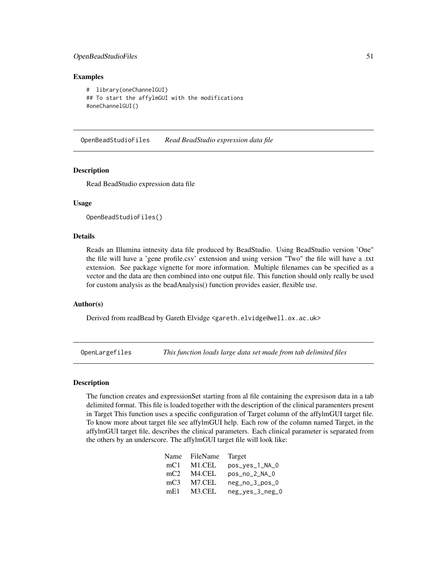### OpenBeadStudioFiles 51

## Examples

```
# library(oneChannelGUI)
## To start the affylmGUI with the modifications
#oneChannelGUI()
```
OpenBeadStudioFiles *Read BeadStudio expression data file*

#### Description

Read BeadStudio expression data file

## Usage

OpenBeadStudioFiles()

## Details

Reads an Illumina intnesity data file produced by BeadStudio. Using BeadStudio version 'One" the file will have a 'gene profile.csv' extension and using version "Two" the file will have a .txt extension. See package vignette for more information. Multiple filenames can be specified as a vector and the data are then combined into one output file. This function should only really be used for custom analysis as the beadAnalysis() function provides easier, flexible use.

### Author(s)

Derived from readBead by Gareth Elvidge <gareth.elvidge@well.ox.ac.uk>

OpenLargefiles *This function loads large data set made from tab delimited files*

#### Description

The function creates and expressionSet starting from al file containing the expresison data in a tab delimited format. This file is loaded together with the description of the clinical paramenters present in Target This function uses a specific configuration of Target column of the affylmGUI target file. To know more about target file see affylmGUI help. Each row of the column named Target, in the affylmGUI target file, describes the clinical parameters. Each clinical parameter is separated from the others by an underscore. The affylmGUI target file will look like:

|                 | Name FileName | Target                                           |
|-----------------|---------------|--------------------------------------------------|
| mC <sub>1</sub> | M1.CEL        | $pos_{\texttt{V}}es_{\texttt{I}}NA_{\texttt{I}}$ |
| mc2             | M4.CEL        | $pos_{102}$ NA $0$                               |
| mc3             | M7.CEL        | $neg\_no_3\_pos_0$                               |
| mE1             | M3.CEL        | $neg\_yes_3_neg_0$                               |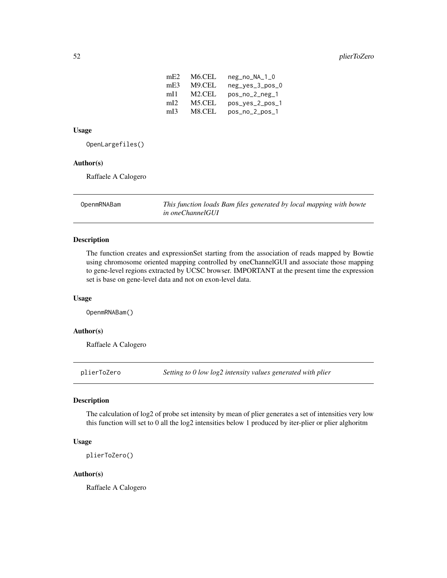| mE2             | M <sub>6</sub> .CEL | neg_no_NA_1_0         |
|-----------------|---------------------|-----------------------|
| mE <sub>3</sub> | M9.CEL              | neg_yes_3_pos_0       |
| mI1             | M2.CEL              | $pos_{102}$ $2_{102}$ |
| mI2             | M5.CEL              | pos_yes_2_pos_1       |
| mI <sub>3</sub> | M8.CEL              | pos_no_2_pos_1        |

#### Usage

OpenLargefiles()

### Author(s)

Raffaele A Calogero

OpenmRNABam *This function loads Bam files generated by local mapping with bowte in oneChannelGUI*

# Description

The function creates and expressionSet starting from the association of reads mapped by Bowtie using chromosome oriented mapping controlled by oneChannelGUI and associate those mapping to gene-level regions extracted by UCSC browser. IMPORTANT at the present time the expression set is base on gene-level data and not on exon-level data.

### Usage

OpenmRNABam()

### Author(s)

Raffaele A Calogero

plierToZero *Setting to 0 low log2 intensity values generated with plier*

## Description

The calculation of log2 of probe set intensity by mean of plier generates a set of intensities very low this function will set to 0 all the log2 intensities below 1 produced by iter-plier or plier alghoritm

## Usage

plierToZero()

## Author(s)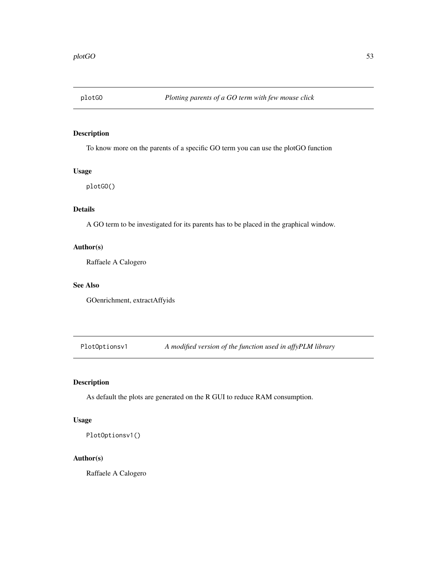To know more on the parents of a specific GO term you can use the plotGO function

### Usage

plotGO()

# Details

A GO term to be investigated for its parents has to be placed in the graphical window.

# Author(s)

Raffaele A Calogero

## See Also

GOenrichment, extractAffyids

PlotOptionsv1 *A modified version of the function used in affyPLM library*

# Description

As default the plots are generated on the R GUI to reduce RAM consumption.

# Usage

PlotOptionsv1()

# Author(s)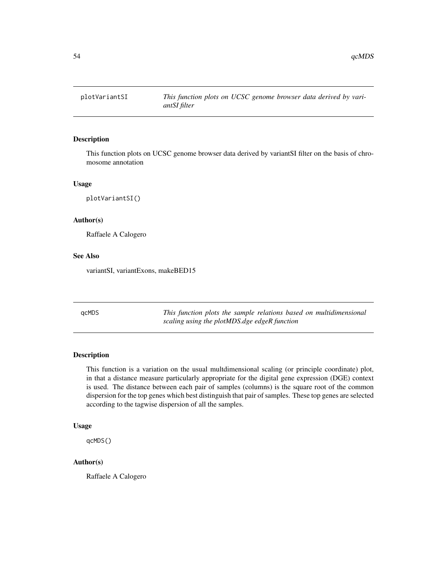This function plots on UCSC genome browser data derived by variantSI filter on the basis of chromosome annotation

# Usage

plotVariantSI()

## Author(s)

Raffaele A Calogero

## See Also

variantSI, variantExons, makeBED15

qcMDS *This function plots the sample relations based on multidimensional scaling using the plotMDS.dge edgeR function*

# Description

This function is a variation on the usual multdimensional scaling (or principle coordinate) plot, in that a distance measure particularly appropriate for the digital gene expression (DGE) context is used. The distance between each pair of samples (columns) is the square root of the common dispersion for the top genes which best distinguish that pair of samples. These top genes are selected according to the tagwise dispersion of all the samples.

### Usage

qcMDS()

### Author(s)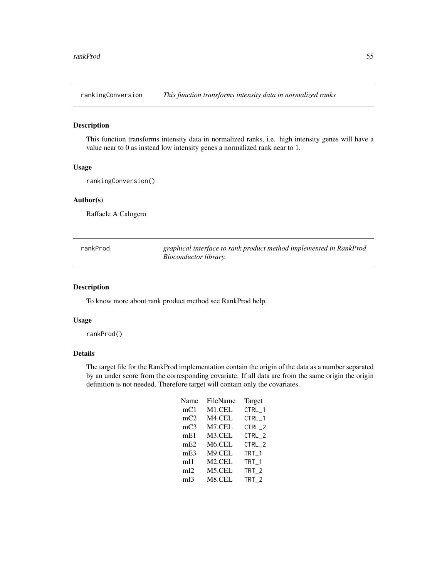rankingConversion *This function transforms intensity data in normalized ranks*

# Description

This function transforms intensity data in normalized ranks, i.e. high intensity genes will have a value near to 0 as instead low intensity genes a normalized rank near to 1.

### Usage

rankingConversion()

## Author(s)

Raffaele A Calogero

| rankProd | graphical interface to rank product method implemented in RankProd |
|----------|--------------------------------------------------------------------|
|          | <i>Bioconductor library.</i>                                       |

## Description

To know more about rank product method see RankProd help.

# Usage

rankProd()

# Details

The target file for the RankProd implementation contain the origin of the data as a number separated by an under score from the corresponding covariate. If all data are from the same origin the origin definition is not needed. Therefore target will contain only the covariates.

| Name            | FileName            | Target           |
|-----------------|---------------------|------------------|
| mC1             | M1.CEL              | CTRL_1           |
| mc2             | M <sub>4</sub> .CEL | CTRL_1           |
| mc3             | M7.CEL              | CTRL 2           |
| mE1             | M3.CEL              | CTRL 2           |
| mE2             | M6.CEL              | CTRL 2           |
| mE3             | M9.CEL              | TRT_1            |
| mI1             | M <sub>2</sub> .CEL | TRT 1            |
| mI2             | M5.CEL              | TRT <sub>2</sub> |
| mI <sub>3</sub> | M8.CEL              | TRT <sub>2</sub> |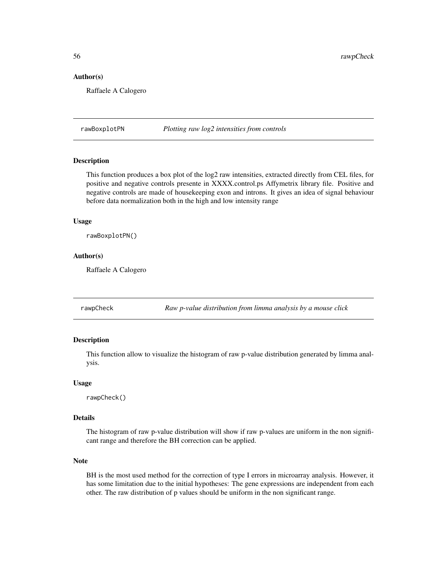## Author(s)

Raffaele A Calogero

rawBoxplotPN *Plotting raw log2 intensities from controls*

# **Description**

This function produces a box plot of the log2 raw intensities, extracted directly from CEL files, for positive and negative controls presente in XXXX.control.ps Affymetrix library file. Positive and negative controls are made of housekeeping exon and introns. It gives an idea of signal behaviour before data normalization both in the high and low intensity range

#### Usage

rawBoxplotPN()

## Author(s)

Raffaele A Calogero

rawpCheck *Raw p-value distribution from limma analysis by a mouse click*

### Description

This function allow to visualize the histogram of raw p-value distribution generated by limma analysis.

#### Usage

rawpCheck()

#### Details

The histogram of raw p-value distribution will show if raw p-values are uniform in the non significant range and therefore the BH correction can be applied.

# Note

BH is the most used method for the correction of type I errors in microarray analysis. However, it has some limitation due to the initial hypotheses: The gene expressions are independent from each other. The raw distribution of p values should be uniform in the non significant range.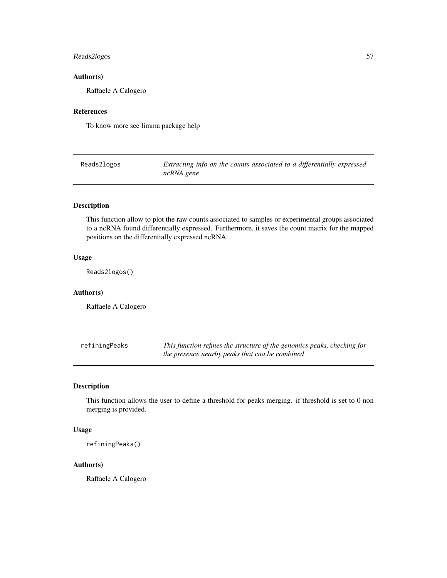# Reads2logos 57

# Author(s)

Raffaele A Calogero

### References

To know more see limma package help

| Reads2logos | Extracting info on the counts associated to a differentially expressed |
|-------------|------------------------------------------------------------------------|
|             | ncRNA gene                                                             |

# Description

This function allow to plot the raw counts associated to samples or experimental groups associated to a ncRNA found differentially expressed. Furthermore, it saves the count matrix for the mapped positions on the differentially expressed ncRNA

## Usage

Reads2logos()

## Author(s)

Raffaele A Calogero

| refiningPeaks | This function refines the structure of the genomics peaks, checking for |
|---------------|-------------------------------------------------------------------------|
|               | the presence nearby peaks that cna be combined                          |

# Description

This function allows the user to define a threshold for peaks merging. if threshold is set to 0 non merging is provided.

## Usage

refiningPeaks()

#### Author(s)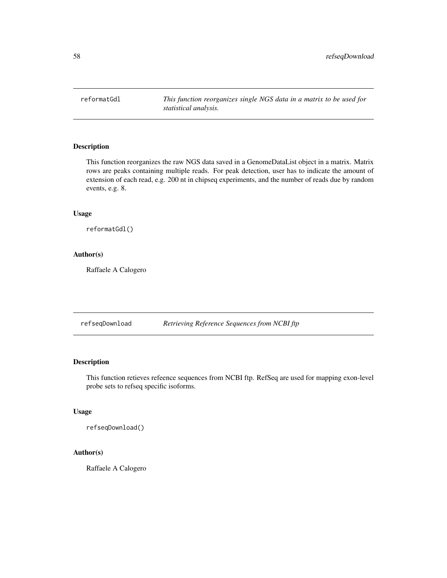reformatGdl *This function reorganizes single NGS data in a matrix to be used for statistical analysis.*

# Description

This function reorganizes the raw NGS data saved in a GenomeDataList object in a matrix. Matrix rows are peaks containing multiple reads. For peak detection, user has to indicate the amount of extension of each read, e.g. 200 nt in chipseq experiments, and the number of reads due by random events, e.g. 8.

# Usage

reformatGdl()

### Author(s)

Raffaele A Calogero

refseqDownload *Retrieving Reference Sequences from NCBI ftp*

## Description

This function retieves refeence sequences from NCBI ftp. RefSeq are used for mapping exon-level probe sets to refseq specific isoforms.

#### Usage

refseqDownload()

### Author(s)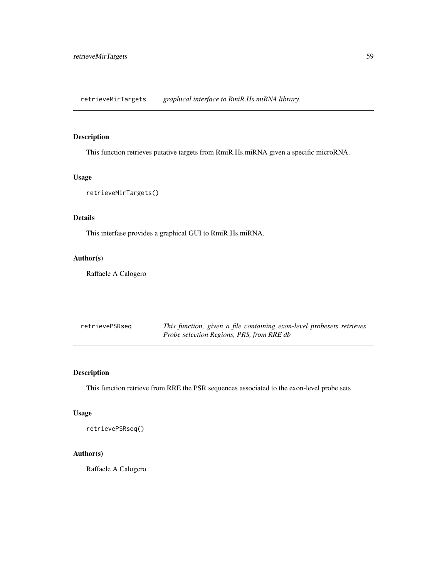retrieveMirTargets *graphical interface to RmiR.Hs.miRNA library.*

## Description

This function retrieves putative targets from RmiR.Hs.miRNA given a specific microRNA.

# Usage

retrieveMirTargets()

## Details

This interfase provides a graphical GUI to RmiR.Hs.miRNA.

# Author(s)

Raffaele A Calogero

| retrievePSRseg | This function, given a file containing exon-level probesets retrieves |
|----------------|-----------------------------------------------------------------------|
|                | Probe selection Regions, PRS, from RRE db                             |

# Description

This function retrieve from RRE the PSR sequences associated to the exon-level probe sets

# Usage

retrievePSRseq()

# Author(s)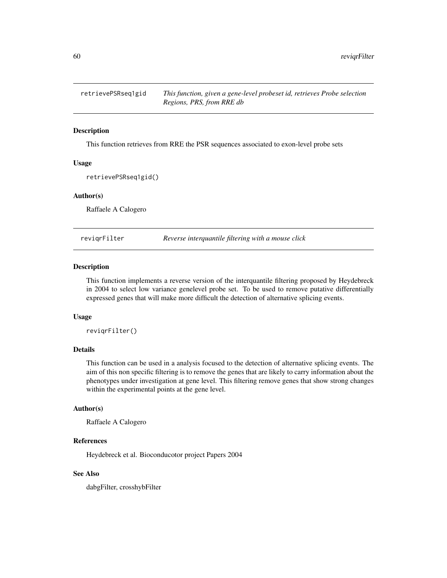This function retrieves from RRE the PSR sequences associated to exon-level probe sets

#### Usage

```
retrievePSRseq1gid()
```
### Author(s)

Raffaele A Calogero

reviqrFilter *Reverse interquantile filtering with a mouse click*

# Description

This function implements a reverse version of the interquantile filtering proposed by Heydebreck in 2004 to select low variance genelevel probe set. To be used to remove putative differentially expressed genes that will make more difficult the detection of alternative splicing events.

# Usage

reviqrFilter()

# Details

This function can be used in a analysis focused to the detection of alternative splicing events. The aim of this non specific filtering is to remove the genes that are likely to carry information about the phenotypes under investigation at gene level. This filtering remove genes that show strong changes within the experimental points at the gene level.

### Author(s)

Raffaele A Calogero

#### References

Heydebreck et al. Bioconducotor project Papers 2004

## See Also

dabgFilter, crosshybFilter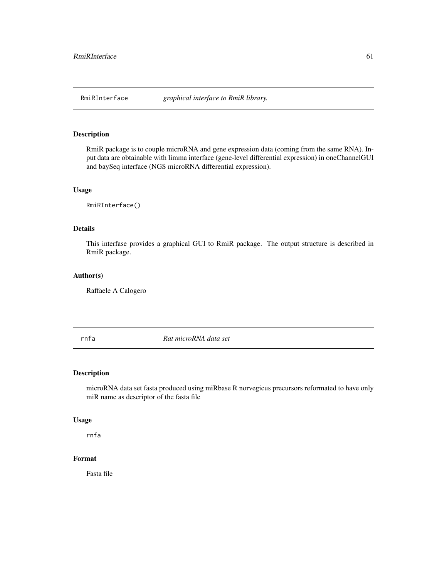RmiR package is to couple microRNA and gene expression data (coming from the same RNA). Input data are obtainable with limma interface (gene-level differential expression) in oneChannelGUI and baySeq interface (NGS microRNA differential expression).

## Usage

RmiRInterface()

# Details

This interfase provides a graphical GUI to RmiR package. The output structure is described in RmiR package.

## Author(s)

Raffaele A Calogero

rnfa *Rat microRNA data set*

# Description

microRNA data set fasta produced using miRbase R norvegicus precursors reformated to have only miR name as descriptor of the fasta file

#### Usage

rnfa

# Format

Fasta file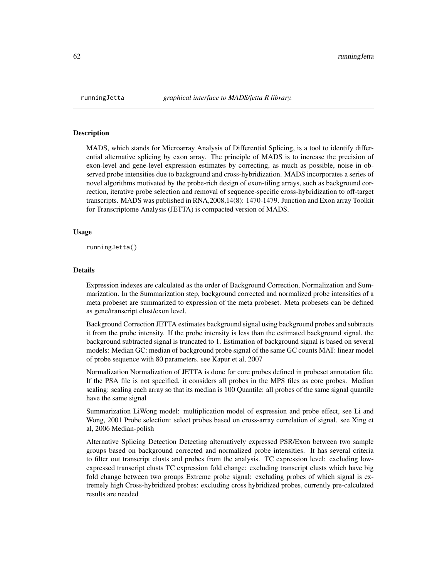MADS, which stands for Microarray Analysis of Differential Splicing, is a tool to identify differential alternative splicing by exon array. The principle of MADS is to increase the precision of exon-level and gene-level expression estimates by correcting, as much as possible, noise in observed probe intensities due to background and cross-hybridization. MADS incorporates a series of novel algorithms motivated by the probe-rich design of exon-tiling arrays, such as background correction, iterative probe selection and removal of sequence-specific cross-hybridization to off-target transcripts. MADS was published in RNA,2008,14(8): 1470-1479. Junction and Exon array Toolkit for Transcriptome Analysis (JETTA) is compacted version of MADS.

### Usage

runningJetta()

#### Details

Expression indexes are calculated as the order of Background Correction, Normalization and Summarization. In the Summarization step, background corrected and normalized probe intensities of a meta probeset are summarized to expression of the meta probeset. Meta probesets can be defined as gene/transcript clust/exon level.

Background Correction JETTA estimates background signal using background probes and subtracts it from the probe intensity. If the probe intensity is less than the estimated background signal, the background subtracted signal is truncated to 1. Estimation of background signal is based on several models: Median GC: median of background probe signal of the same GC counts MAT: linear model of probe sequence with 80 parameters. see Kapur et al, 2007

Normalization Normalization of JETTA is done for core probes defined in probeset annotation file. If the PSA file is not specified, it considers all probes in the MPS files as core probes. Median scaling: scaling each array so that its median is 100 Quantile: all probes of the same signal quantile have the same signal

Summarization LiWong model: multiplication model of expression and probe effect, see Li and Wong, 2001 Probe selection: select probes based on cross-array correlation of signal. see Xing et al, 2006 Median-polish

Alternative Splicing Detection Detecting alternatively expressed PSR/Exon between two sample groups based on background corrected and normalized probe intensities. It has several criteria to filter out transcript clusts and probes from the analysis. TC expression level: excluding lowexpressed transcript clusts TC expression fold change: excluding transcript clusts which have big fold change between two groups Extreme probe signal: excluding probes of which signal is extremely high Cross-hybridized probes: excluding cross hybridized probes, currently pre-calculated results are needed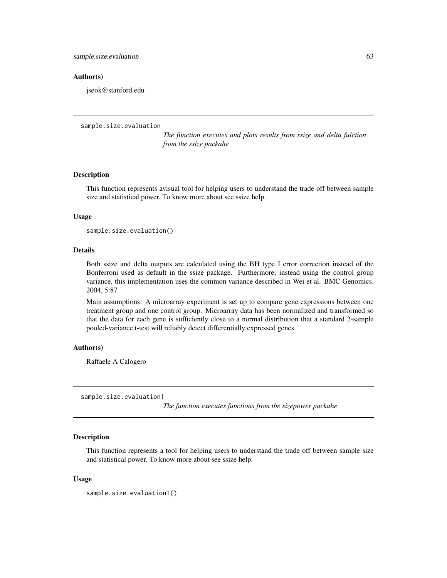### Author(s)

jseok@stanford.edu

sample.size.evaluation

*The function executes and plots results from ssize and delta fulction from the ssize packahe*

# Description

This function represents avisual tool for helping users to understand the trade off between sample size and statistical power. To know more about see ssize help.

#### Usage

sample.size.evaluation()

## Details

Both ssize and delta outputs are calculated using the BH type I error correction instead of the Bonferroni used as default in the ssize package. Furthermore, instead using the control group variance, this implementation uses the common variance described in Wei et al. BMC Genomics. 2004, 5:87

Main assumptions: A microarray experiment is set up to compare gene expressions between one treatment group and one control group. Microarray data has been normalized and transformed so that the data for each gene is sufficiently close to a normal distribution that a standard 2-sample pooled-variance t-test will reliably detect differentially expressed genes.

#### Author(s)

Raffaele A Calogero

sample.size.evaluation1

*The function executes functions from the sizepower packahe*

# Description

This function represents a tool for helping users to understand the trade off between sample size and statistical power. To know more about see ssize help.

#### Usage

```
sample.size.evaluation1()
```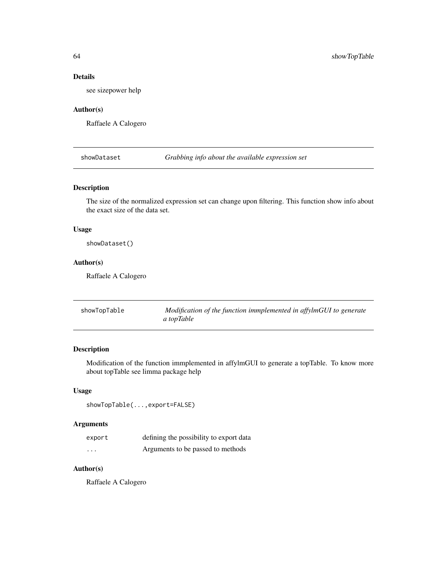# Details

see sizepower help

## Author(s)

Raffaele A Calogero

showDataset *Grabbing info about the available expression set*

# **Description**

The size of the normalized expression set can change upon filtering. This function show info about the exact size of the data set.

# Usage

showDataset()

## Author(s)

Raffaele A Calogero

showTopTable *Modification of the function immplemented in affylmGUI to generate a topTable*

# Description

Modification of the function immplemented in affylmGUI to generate a topTable. To know more about topTable see limma package help

#### Usage

showTopTable(...,export=FALSE)

## Arguments

| export | defining the possibility to export data |
|--------|-----------------------------------------|
| .      | Arguments to be passed to methods       |

## Author(s)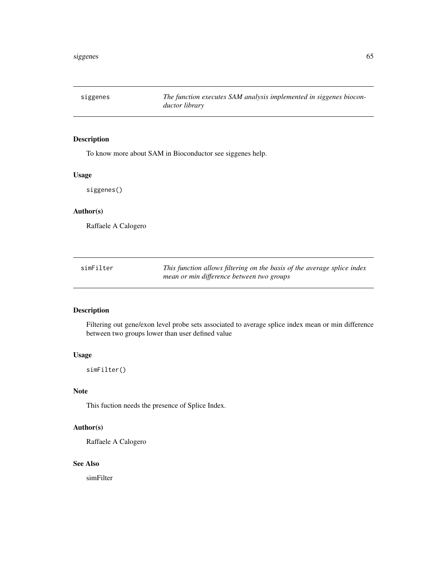siggenes *The function executes SAM analysis implemented in siggenes bioconductor library*

# Description

To know more about SAM in Bioconductor see siggenes help.

## Usage

siggenes()

## Author(s)

Raffaele A Calogero

| simFilter | This function allows filtering on the basis of the average splice index |
|-----------|-------------------------------------------------------------------------|
|           | mean or min difference between two groups                               |

# Description

Filtering out gene/exon level probe sets associated to average splice index mean or min difference between two groups lower than user defined value

# Usage

simFilter()

## Note

This fuction needs the presence of Splice Index.

## Author(s)

Raffaele A Calogero

# See Also

simFilter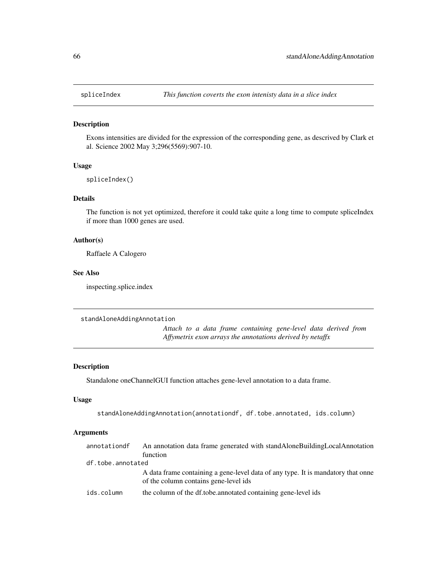Exons intensities are divided for the expression of the corresponding gene, as descrived by Clark et al. Science 2002 May 3;296(5569):907-10.

#### Usage

```
spliceIndex()
```
# Details

The function is not yet optimized, therefore it could take quite a long time to compute spliceIndex if more than 1000 genes are used.

## Author(s)

Raffaele A Calogero

# See Also

inspecting.splice.index

```
standAloneAddingAnnotation
```
*Attach to a data frame containing gene-level data derived from Affymetrix exon arrays the annotations derived by netaffx*

## Description

Standalone oneChannelGUI function attaches gene-level annotation to a data frame.

#### Usage

standAloneAddingAnnotation(annotationdf, df.tobe.annotated, ids.column)

### Arguments

| annotationdf      | An annotation data frame generated with standAloneBuildingLocalAnnotation                                                 |
|-------------------|---------------------------------------------------------------------------------------------------------------------------|
|                   | function                                                                                                                  |
| df.tobe.annotated |                                                                                                                           |
|                   | A data frame containing a gene-level data of any type. It is mandatory that onne<br>of the column contains gene-level ids |
| ids.column        | the column of the df.tobe.annotated containing gene-level ids                                                             |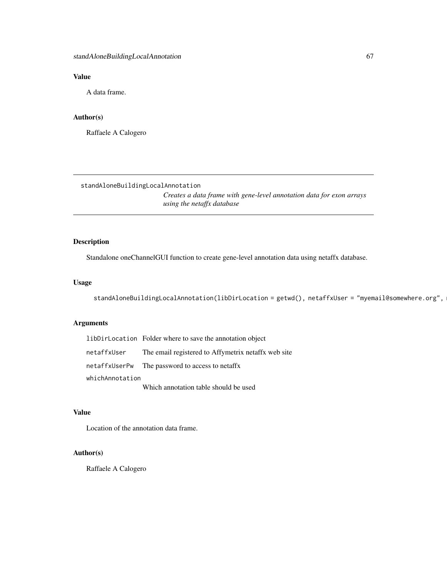# Value

A data frame.

# Author(s)

Raffaele A Calogero

standAloneBuildingLocalAnnotation

*Creates a data frame with gene-level annotation data for exon arrays using the netaffx database*

# Description

Standalone oneChannelGUI function to create gene-level annotation data using netaffx database.

# Usage

```
standAloneBuildingLocalAnnotation(libDirLocation = getwd(), netaffxUser = "myemail@somewhere.org",
```
# Arguments

|                 | libDirLocation Folder where to save the annotation object       |
|-----------------|-----------------------------------------------------------------|
|                 | netaffxUser The email registered to Affymetrix netaffx web site |
|                 | netaffxUserPw The password to access to netaffx                 |
| whichAnnotation |                                                                 |
|                 | Which annotation table should be used                           |

# Value

Location of the annotation data frame.

# Author(s)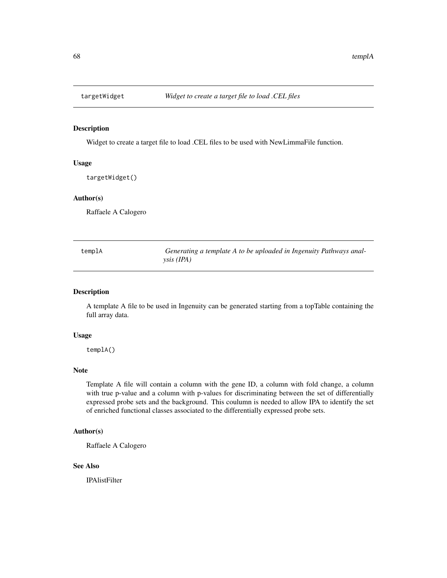Widget to create a target file to load .CEL files to be used with NewLimmaFile function.

## Usage

targetWidget()

#### Author(s)

Raffaele A Calogero

| templA | Generating a template A to be uploaded in Ingenuity Pathways anal- |
|--------|--------------------------------------------------------------------|
|        | $\gamma$ sis (IPA)                                                 |

#### Description

A template A file to be used in Ingenuity can be generated starting from a topTable containing the full array data.

#### Usage

templA()

## Note

Template A file will contain a column with the gene ID, a column with fold change, a column with true p-value and a column with p-values for discriminating between the set of differentially expressed probe sets and the background. This coulumn is needed to allow IPA to identify the set of enriched functional classes associated to the differentially expressed probe sets.

## Author(s)

Raffaele A Calogero

## See Also

IPAlistFilter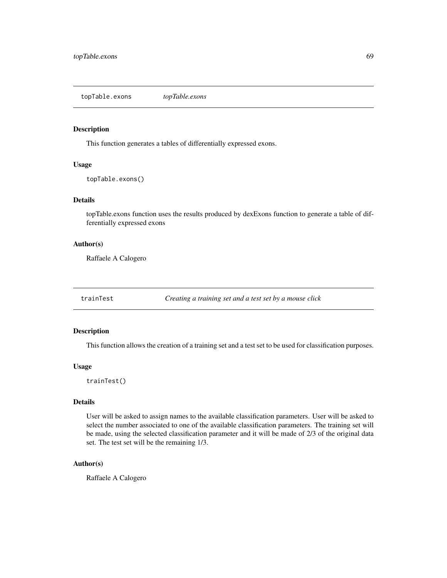topTable.exons *topTable.exons*

## Description

This function generates a tables of differentially expressed exons.

# Usage

topTable.exons()

## Details

topTable.exons function uses the results produced by dexExons function to generate a table of differentially expressed exons

## Author(s)

Raffaele A Calogero

trainTest *Creating a training set and a test set by a mouse click*

### Description

This function allows the creation of a training set and a test set to be used for classification purposes.

#### Usage

trainTest()

## Details

User will be asked to assign names to the available classification parameters. User will be asked to select the number associated to one of the available classification parameters. The training set will be made, using the selected classification parameter and it will be made of 2/3 of the original data set. The test set will be the remaining 1/3.

#### Author(s)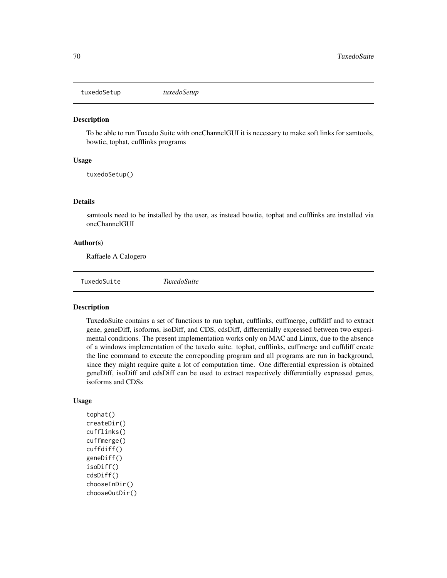tuxedoSetup *tuxedoSetup*

## Description

To be able to run Tuxedo Suite with oneChannelGUI it is necessary to make soft links for samtools, bowtie, tophat, cufflinks programs

# Usage

tuxedoSetup()

## Details

samtools need to be installed by the user, as instead bowtie, tophat and cufflinks are installed via oneChannelGUI

## Author(s)

Raffaele A Calogero

TuxedoSuite *TuxedoSuite*

# Description

TuxedoSuite contains a set of functions to run tophat, cufflinks, cuffmerge, cuffdiff and to extract gene, geneDiff, isoforms, isoDiff, and CDS, cdsDiff, differentially expressed between two experimental conditions. The present implementation works only on MAC and Linux, due to the absence of a windows implementation of the tuxedo suite. tophat, cufflinks, cuffmerge and cuffdiff create the line command to execute the correponding program and all programs are run in background, since they might require quite a lot of computation time. One differential expression is obtained geneDiff, isoDiff and cdsDiff can be used to extract respectively differentially expressed genes, isoforms and CDSs

## Usage

tophat() createDir() cufflinks() cuffmerge() cuffdiff() geneDiff() isoDiff() cdsDiff() chooseInDir() chooseOutDir()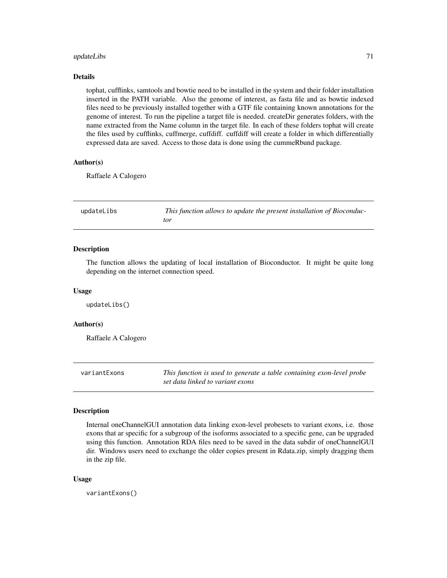#### updateLibs 71

#### Details

tophat, cufflinks, samtools and bowtie need to be installed in the system and their folder installation inserted in the PATH variable. Also the genome of interest, as fasta file and as bowtie indexed files need to be previously installed together with a GTF file containing known annotations for the genome of interest. To run the pipeline a target file is needed. createDir generates folders, with the name extracted from the Name column in the target file. In each of these folders tophat will create the files used by cufflinks, cuffmerge, cuffdiff. cuffdiff will create a folder in which differentially expressed data are saved. Access to those data is done using the cummeRbund package.

## Author(s)

Raffaele A Calogero

| updateLibs | This function allows to update the present installation of Bioconduc- |
|------------|-----------------------------------------------------------------------|
|            | tor                                                                   |

## Description

The function allows the updating of local installation of Bioconductor. It might be quite long depending on the internet connection speed.

#### Usage

updateLibs()

# Author(s)

Raffaele A Calogero

variantExons *This function is used to generate a table containing exon-level probe set data linked to variant exons*

## **Description**

Internal oneChannelGUI annotation data linking exon-level probesets to variant exons, i.e. those exons that ar specific for a subgroup of the isoforms associated to a specific gene, can be upgraded using this function. Annotation RDA files need to be saved in the data subdir of oneChannelGUI dir. Windows users need to exchange the older copies present in Rdata.zip, simply dragging them in the zip file.

#### Usage

variantExons()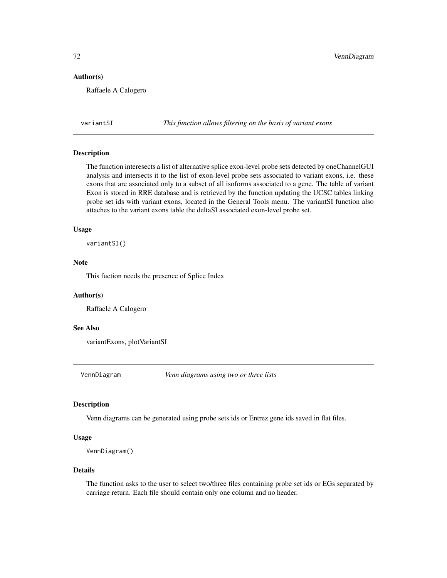## Author(s)

Raffaele A Calogero

variantSI *This function allows filtering on the basis of variant exons*

### Description

The function interesects a list of alternative splice exon-level probe sets detected by oneChannelGUI analysis and intersects it to the list of exon-level probe sets associated to variant exons, i.e. these exons that are associated only to a subset of all isoforms associated to a gene. The table of variant Exon is stored in RRE database and is retrieved by the function updating the UCSC tables linking probe set ids with variant exons, located in the General Tools menu. The variantSI function also attaches to the variant exons table the deltaSI associated exon-level probe set.

### Usage

variantSI()

# Note

This fuction needs the presence of Splice Index

#### Author(s)

Raffaele A Calogero

#### See Also

variantExons, plotVariantSI

VennDiagram *Venn diagrams using two or three lists*

### Description

Venn diagrams can be generated using probe sets ids or Entrez gene ids saved in flat files.

## Usage

```
VennDiagram()
```
#### Details

The function asks to the user to select two/three files containing probe set ids or EGs separated by carriage return. Each file should contain only one column and no header.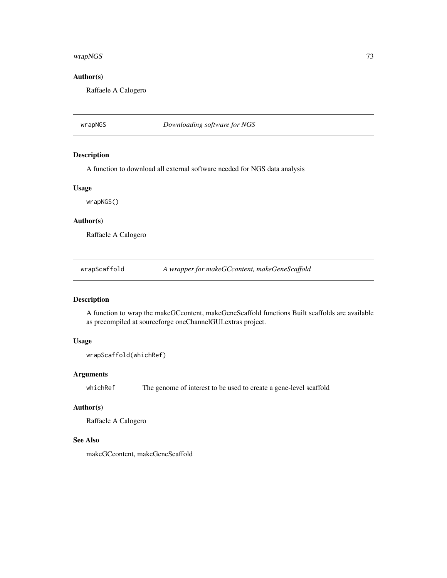#### <span id="page-72-0"></span> $wrapNGS$  73

## Author(s)

Raffaele A Calogero

# wrapNGS *Downloading software for NGS*

# Description

A function to download all external software needed for NGS data analysis

#### Usage

wrapNGS()

# Author(s)

Raffaele A Calogero

wrapScaffold *A wrapper for makeGCcontent, makeGeneScaffold*

#### Description

A function to wrap the makeGCcontent, makeGeneScaffold functions Built scaffolds are available as precompiled at sourceforge oneChannelGUI.extras project.

# Usage

```
wrapScaffold(whichRef)
```
#### Arguments

whichRef The genome of interest to be used to create a gene-level scaffold

## Author(s)

Raffaele A Calogero

#### See Also

makeGCcontent, makeGeneScaffold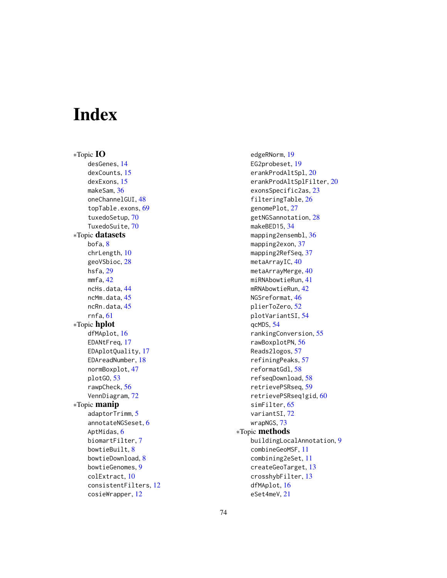# Index

∗Topic IO desGenes, [14](#page-13-0) dexCounts, [15](#page-14-0) dexExons, [15](#page-14-0) makeSam, [36](#page-35-0) oneChannelGUI, [48](#page-47-0) topTable.exons, [69](#page-68-0) tuxedoSetup, [70](#page-69-0) TuxedoSuite, [70](#page-69-0) ∗Topic datasets bofa, [8](#page-7-0) chrLength, [10](#page-9-0) geoVSbioc, [28](#page-27-0) hsfa, [29](#page-28-0) mmfa, [42](#page-41-0) ncHs.data, [44](#page-43-0) ncMm.data, [45](#page-44-0) ncRn.data, [45](#page-44-0) rnfa, [61](#page-60-0) ∗Topic hplot dfMAplot, [16](#page-15-0) EDANtFreq, [17](#page-16-0) EDAplotQuality, [17](#page-16-0) EDAreadNumber, [18](#page-17-0) normBoxplot, [47](#page-46-0) plotGO, [53](#page-52-0) rawpCheck, [56](#page-55-0) VennDiagram, [72](#page-71-0) ∗Topic manip adaptorTrimm, [5](#page-4-0) annotateNGSeset, [6](#page-5-0) AptMidas, [6](#page-5-0) biomartFilter, [7](#page-6-0) bowtieBuilt, [8](#page-7-0) bowtieDownload, [8](#page-7-0) bowtieGenomes, [9](#page-8-0) colExtract, [10](#page-9-0) consistentFilters, [12](#page-11-0) cosieWrapper, [12](#page-11-0)

edgeRNorm, [19](#page-18-0) EG2probeset, [19](#page-18-0) erankProdAltSpl, [20](#page-19-0) erankProdAltSplFilter, [20](#page-19-0) exonsSpecific2as, [23](#page-22-0) filteringTable, [26](#page-25-0) genomePlot, [27](#page-26-0) getNGSannotation, [28](#page-27-0) makeBED15, [34](#page-33-0) mapping2ensembl, [36](#page-35-0) mapping2exon, [37](#page-36-0) mapping2RefSeq, [37](#page-36-0) metaArrayIC, [40](#page-39-0) metaArrayMerge, [40](#page-39-0) miRNAbowtieRun, [41](#page-40-0) mRNAbowtieRun, [42](#page-41-0) NGSreformat, [46](#page-45-0) plierToZero, [52](#page-51-0) plotVariantSI, [54](#page-53-0) qcMDS, [54](#page-53-0) rankingConversion, [55](#page-54-0) rawBoxplotPN, [56](#page-55-0) Reads2logos, [57](#page-56-0) refiningPeaks, [57](#page-56-0) reformatGdl, [58](#page-57-0) refseqDownload, [58](#page-57-0) retrievePSRseq, [59](#page-58-0) retrievePSRseq1gid, [60](#page-59-0) simFilter, [65](#page-64-0) variantSI, [72](#page-71-0) wrapNGS, [73](#page-72-0) ∗Topic methods buildingLocalAnnotation, [9](#page-8-0) combineGeoMSF, [11](#page-10-0) combining2eSet, [11](#page-10-0) createGeoTarget, [13](#page-12-0) crosshybFilter, [13](#page-12-0) dfMAplot, [16](#page-15-0) eSet4meV, [21](#page-20-0)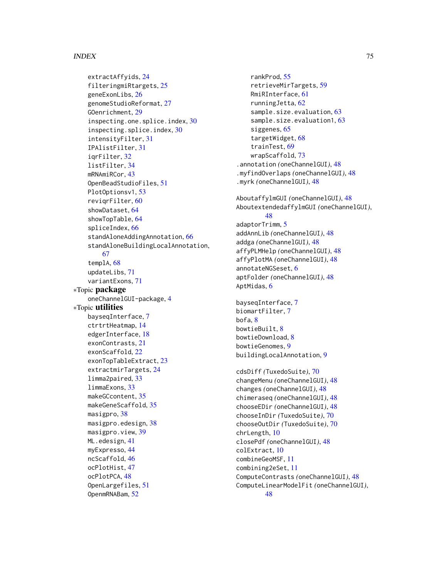#### INDEX 75

extractAffyids, [24](#page-23-0) filteringmiRtargets, [25](#page-24-0) geneExonLibs, [26](#page-25-0) genomeStudioReformat, [27](#page-26-0) GOenrichment, [29](#page-28-0) inspecting.one.splice.index, [30](#page-29-0) inspecting.splice.index, [30](#page-29-0) intensityFilter, [31](#page-30-0) IPAlistFilter, [31](#page-30-0) iqrFilter, [32](#page-31-0) listFilter, [34](#page-33-0) mRNAmiRCor, [43](#page-42-0) OpenBeadStudioFiles, [51](#page-50-0) PlotOptionsv1, [53](#page-52-0) reviqrFilter, [60](#page-59-0) showDataset, [64](#page-63-0) showTopTable, [64](#page-63-0) spliceIndex, [66](#page-65-0) standAloneAddingAnnotation, [66](#page-65-0) standAloneBuildingLocalAnnotation, [67](#page-66-0) templA, [68](#page-67-0) updateLibs, [71](#page-70-0) variantExons, [71](#page-70-0) ∗Topic package oneChannelGUI-package, [4](#page-3-0) ∗Topic utilities bayseqInterface, [7](#page-6-0) ctrtrtHeatmap, [14](#page-13-0) edgerInterface, [18](#page-17-0) exonContrasts, [21](#page-20-0) exonScaffold, [22](#page-21-0) exonTopTableExtract, [23](#page-22-0) extractmirTargets, [24](#page-23-0) limma2paired, [33](#page-32-0) limmaExons, [33](#page-32-0) makeGCcontent, [35](#page-34-0) makeGeneScaffold, [35](#page-34-0) masigpro, [38](#page-37-0) masigpro.edesign, [38](#page-37-0) masigpro.view, [39](#page-38-0) ML.edesign, [41](#page-40-0) myExpresso, [44](#page-43-0) ncScaffold, [46](#page-45-0) ocPlotHist, [47](#page-46-0) ocPlotPCA, [48](#page-47-0) OpenLargefiles, [51](#page-50-0) OpenmRNABam, [52](#page-51-0)

rankProd, [55](#page-54-0) retrieveMirTargets, [59](#page-58-0) RmiRInterface, [61](#page-60-0) runningJetta, [62](#page-61-0) sample.size.evaluation, [63](#page-62-0) sample.size.evaluation1, [63](#page-62-0) siggenes, [65](#page-64-0) targetWidget, [68](#page-67-0) trainTest, [69](#page-68-0) wrapScaffold, [73](#page-72-0) .annotation *(*oneChannelGUI*)*, [48](#page-47-0) .myfindOverlaps *(*oneChannelGUI*)*, [48](#page-47-0) .myrk *(*oneChannelGUI*)*, [48](#page-47-0) AboutaffylmGUI *(*oneChannelGUI*)*, [48](#page-47-0) AboutextendedaffylmGUI *(*oneChannelGUI*)*, [48](#page-47-0) adaptorTrimm, [5](#page-4-0) addAnnLib *(*oneChannelGUI*)*, [48](#page-47-0) addga *(*oneChannelGUI*)*, [48](#page-47-0) affyPLMHelp *(*oneChannelGUI*)*, [48](#page-47-0) affyPlotMA *(*oneChannelGUI*)*, [48](#page-47-0) annotateNGSeset, [6](#page-5-0) aptFolder *(*oneChannelGUI*)*, [48](#page-47-0) AptMidas, [6](#page-5-0) bayseqInterface, [7](#page-6-0) biomartFilter, [7](#page-6-0) bofa, [8](#page-7-0) bowtieBuilt, [8](#page-7-0) bowtieDownload, [8](#page-7-0) bowtieGenomes, [9](#page-8-0) buildingLocalAnnotation, [9](#page-8-0) cdsDiff *(*TuxedoSuite*)*, [70](#page-69-0) changeMenu *(*oneChannelGUI*)*, [48](#page-47-0) changes *(*oneChannelGUI*)*, [48](#page-47-0) chimeraseq *(*oneChannelGUI*)*, [48](#page-47-0) chooseEDir *(*oneChannelGUI*)*, [48](#page-47-0) chooseInDir *(*TuxedoSuite*)*, [70](#page-69-0) chooseOutDir *(*TuxedoSuite*)*, [70](#page-69-0) chrLength, [10](#page-9-0) closePdf *(*oneChannelGUI*)*, [48](#page-47-0) colExtract, [10](#page-9-0) combineGeoMSF, [11](#page-10-0) combining2eSet, [11](#page-10-0) ComputeContrasts *(*oneChannelGUI*)*, [48](#page-47-0) ComputeLinearModelFit *(*oneChannelGUI*)*, [48](#page-47-0)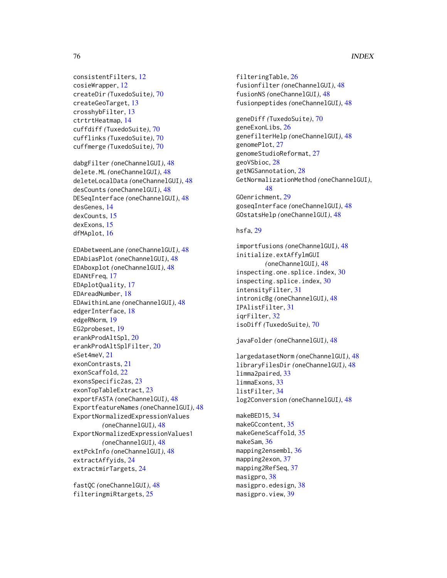```
consistentFilters, 12
cosieWrapper, 12
createDir (TuxedoSuite), 70
createGeoTarget, 13
crosshybFilter, 13
ctrtrtHeatmap, 14
cuffdiff (TuxedoSuite), 70
cufflinks (TuxedoSuite), 70
cuffmerge (TuxedoSuite), 70
```

```
dabgFilter (oneChannelGUI), 48
delete.ML (oneChannelGUI), 48
deleteLocalData (oneChannelGUI), 48
desCounts (oneChannelGUI), 48
DESeqInterface (oneChannelGUI), 48
desGenes, 14
dexCounts, 15
dexExons, 15
dfMAplot, 16
```
EDAbetweenLane *(*oneChannelGUI*)*, [48](#page-47-0) EDAbiasPlot *(*oneChannelGUI*)*, [48](#page-47-0) EDAboxplot *(*oneChannelGUI*)*, [48](#page-47-0) EDANtFreq, [17](#page-16-0) EDAplotQuality, [17](#page-16-0) EDAreadNumber, [18](#page-17-0) EDAwithinLane *(*oneChannelGUI*)*, [48](#page-47-0) edgerInterface, [18](#page-17-0) edgeRNorm, [19](#page-18-0) EG2probeset, [19](#page-18-0) erankProdAltSpl, [20](#page-19-0) erankProdAltSplFilter, [20](#page-19-0) eSet4meV, [21](#page-20-0) exonContrasts, [21](#page-20-0) exonScaffold, [22](#page-21-0) exonsSpecific2as, [23](#page-22-0) exonTopTableExtract, [23](#page-22-0) exportFASTA *(*oneChannelGUI*)*, [48](#page-47-0) ExportfeatureNames *(*oneChannelGUI*)*, [48](#page-47-0) ExportNormalizedExpressionValues *(*oneChannelGUI*)*, [48](#page-47-0) ExportNormalizedExpressionValues1 *(*oneChannelGUI*)*, [48](#page-47-0) extPckInfo *(*oneChannelGUI*)*, [48](#page-47-0) extractAffyids, [24](#page-23-0) extractmirTargets, [24](#page-23-0)

fastQC *(*oneChannelGUI*)*, [48](#page-47-0) filteringmiRtargets, [25](#page-24-0)

filteringTable, [26](#page-25-0) fusionfilter *(*oneChannelGUI*)*, [48](#page-47-0) fusionNS *(*oneChannelGUI*)*, [48](#page-47-0) fusionpeptides *(*oneChannelGUI*)*, [48](#page-47-0)

```
geneDiff (TuxedoSuite), 70
geneExonLibs, 26
genefilterHelp (oneChannelGUI), 48
genomePlot, 27
genomeStudioReformat, 27
geoVSbioc, 28
getNGSannotation, 28
GetNormalizationMethod (oneChannelGUI),
        48
GOenrichment, 29
goseqInterface (oneChannelGUI), 48
GOstatsHelp (oneChannelGUI), 48
```
#### hsfa, [29](#page-28-0)

```
importfusions (oneChannelGUI), 48
initialize.extAffylmGUI
        (oneChannelGUI), 48
inspecting.one.splice.index, 30
inspecting.splice.index, 30
intensityFilter, 31
intronicBg (oneChannelGUI), 48
IPAlistFilter, 31
iqrFilter, 32
isoDiff (TuxedoSuite), 70
```
javaFolder *(*oneChannelGUI*)*, [48](#page-47-0)

largedatasetNorm *(*oneChannelGUI*)*, [48](#page-47-0) libraryFilesDir *(*oneChannelGUI*)*, [48](#page-47-0) limma2paired, [33](#page-32-0) limmaExons, [33](#page-32-0) listFilter, [34](#page-33-0) log2Conversion *(*oneChannelGUI*)*, [48](#page-47-0)

makeBED15, [34](#page-33-0) makeGCcontent, [35](#page-34-0) makeGeneScaffold, [35](#page-34-0) makeSam, [36](#page-35-0) mapping2ensembl, [36](#page-35-0) mapping2exon, [37](#page-36-0) mapping2RefSeq, [37](#page-36-0) masigpro, [38](#page-37-0) masigpro.edesign, [38](#page-37-0) masigpro.view, [39](#page-38-0)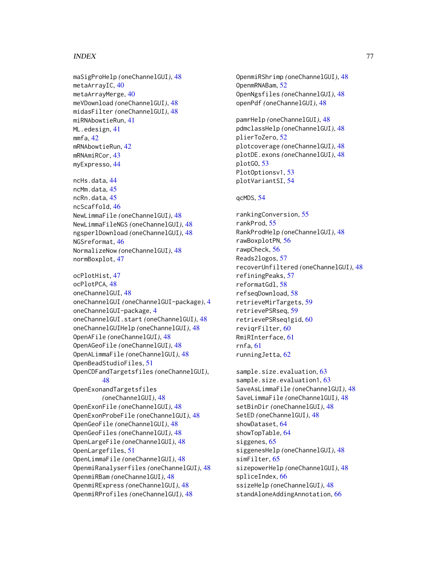#### INDEX 277

maSigProHelp *(*oneChannelGUI*)*, [48](#page-47-0) metaArrayIC, [40](#page-39-0) metaArrayMerge, [40](#page-39-0) meVDownload *(*oneChannelGUI*)*, [48](#page-47-0) midasFilter *(*oneChannelGUI*)*, [48](#page-47-0) miRNAbowtieRun, [41](#page-40-0) ML.edesign, [41](#page-40-0)  $mmfa, 42$  $mmfa, 42$ mRNAbowtieRun, [42](#page-41-0) mRNAmiRCor, [43](#page-42-0) myExpresso, [44](#page-43-0) ncHs.data, [44](#page-43-0) ncMm.data, [45](#page-44-0) ncRn.data, [45](#page-44-0) ncScaffold, [46](#page-45-0) NewLimmaFile *(*oneChannelGUI*)*, [48](#page-47-0) NewLimmaFileNGS *(*oneChannelGUI*)*, [48](#page-47-0) ngsperlDownload *(*oneChannelGUI*)*, [48](#page-47-0) NGSreformat, [46](#page-45-0) NormalizeNow *(*oneChannelGUI*)*, [48](#page-47-0) normBoxplot, [47](#page-46-0) ocPlotHist, [47](#page-46-0) ocPlotPCA, [48](#page-47-0) oneChannelGUI, [48](#page-47-0) oneChannelGUI *(*oneChannelGUI-package*)*, [4](#page-3-0) oneChannelGUI-package, [4](#page-3-0) oneChannelGUI.start *(*oneChannelGUI*)*, [48](#page-47-0) oneChannelGUIHelp *(*oneChannelGUI*)*, [48](#page-47-0) OpenAFile *(*oneChannelGUI*)*, [48](#page-47-0) OpenAGeoFile *(*oneChannelGUI*)*, [48](#page-47-0) OpenALimmaFile *(*oneChannelGUI*)*, [48](#page-47-0) OpenBeadStudioFiles, [51](#page-50-0) OpenCDFandTargetsfiles *(*oneChannelGUI*)*, [48](#page-47-0) OpenExonandTargetsfiles *(*oneChannelGUI*)*, [48](#page-47-0) OpenExonFile *(*oneChannelGUI*)*, [48](#page-47-0) OpenExonProbeFile *(*oneChannelGUI*)*, [48](#page-47-0) OpenGeoFile *(*oneChannelGUI*)*, [48](#page-47-0) OpenGeoFiles *(*oneChannelGUI*)*, [48](#page-47-0) OpenLargeFile *(*oneChannelGUI*)*, [48](#page-47-0) OpenLargefiles, [51](#page-50-0) OpenLimmaFile *(*oneChannelGUI*)*, [48](#page-47-0) OpenmiRanalyserfiles *(*oneChannelGUI*)*, [48](#page-47-0) OpenmiRBam *(*oneChannelGUI*)*, [48](#page-47-0) OpenmiRExpress *(*oneChannelGUI*)*, [48](#page-47-0) OpenmiRProfiles *(*oneChannelGUI*)*, [48](#page-47-0)

OpenmiRShrimp *(*oneChannelGUI*)*, [48](#page-47-0) OpenmRNABam, [52](#page-51-0) OpenNgsfiles *(*oneChannelGUI*)*, [48](#page-47-0) openPdf *(*oneChannelGUI*)*, [48](#page-47-0)

pamrHelp *(*oneChannelGUI*)*, [48](#page-47-0) pdmclassHelp *(*oneChannelGUI*)*, [48](#page-47-0) plierToZero, [52](#page-51-0) plotcoverage *(*oneChannelGUI*)*, [48](#page-47-0) plotDE.exons *(*oneChannelGUI*)*, [48](#page-47-0) plotGO, [53](#page-52-0) PlotOptionsv1, [53](#page-52-0) plotVariantSI, [54](#page-53-0)

#### qcMDS, [54](#page-53-0)

rankingConversion, [55](#page-54-0) rankProd, [55](#page-54-0) RankProdHelp *(*oneChannelGUI*)*, [48](#page-47-0) rawBoxplotPN, [56](#page-55-0) rawpCheck, [56](#page-55-0) Reads2logos, [57](#page-56-0) recoverUnfiltered *(*oneChannelGUI*)*, [48](#page-47-0) refiningPeaks, [57](#page-56-0) reformatGdl, [58](#page-57-0) refseqDownload, [58](#page-57-0) retrieveMirTargets, [59](#page-58-0) retrievePSRseq, [59](#page-58-0) retrievePSRseq1gid, [60](#page-59-0) reviqrFilter, [60](#page-59-0) RmiRInterface, [61](#page-60-0) rnfa, [61](#page-60-0) runningJetta, [62](#page-61-0)

sample.size.evaluation, [63](#page-62-0) sample.size.evaluation1, [63](#page-62-0) SaveAsLimmaFile *(*oneChannelGUI*)*, [48](#page-47-0) SaveLimmaFile *(*oneChannelGUI*)*, [48](#page-47-0) setBinDir *(*oneChannelGUI*)*, [48](#page-47-0) SetED *(*oneChannelGUI*)*, [48](#page-47-0) showDataset, [64](#page-63-0) showTopTable, [64](#page-63-0) siggenes, [65](#page-64-0) siggenesHelp *(*oneChannelGUI*)*, [48](#page-47-0) simFilter, [65](#page-64-0) sizepowerHelp *(*oneChannelGUI*)*, [48](#page-47-0) spliceIndex, [66](#page-65-0) ssizeHelp *(*oneChannelGUI*)*, [48](#page-47-0) standAloneAddingAnnotation, [66](#page-65-0)